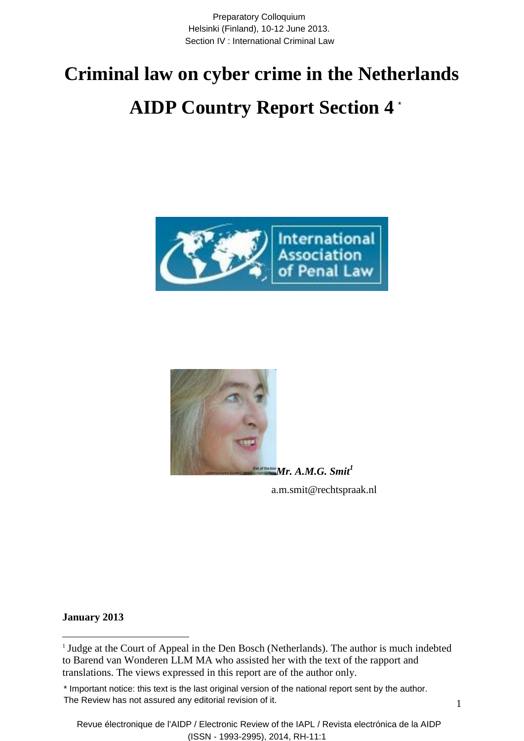Preparatory Colloquium Helsinki (Finland), 10-12 June 2013. Section IV : International Criminal Law

# **Criminal law on cyber crime in the Netherlands AIDP Country Report Section 4** \*





*Mr. A.M.G. Smit<sup>1</sup>* a.m.smit@rechtspraak.nl

**January 2013**

<sup>&</sup>lt;sup>1</sup> Judge at the Court of Appeal in the Den Bosch (Netherlands). The author is much indebted to Barend van Wonderen LLM MA who assisted her with the text of the rapport and translations. The views expressed in this report are of the author only.

<sup>\*</sup> Important notice: this text is the last original version of the national report sent by the author. The Review has not assured any editorial revision of it.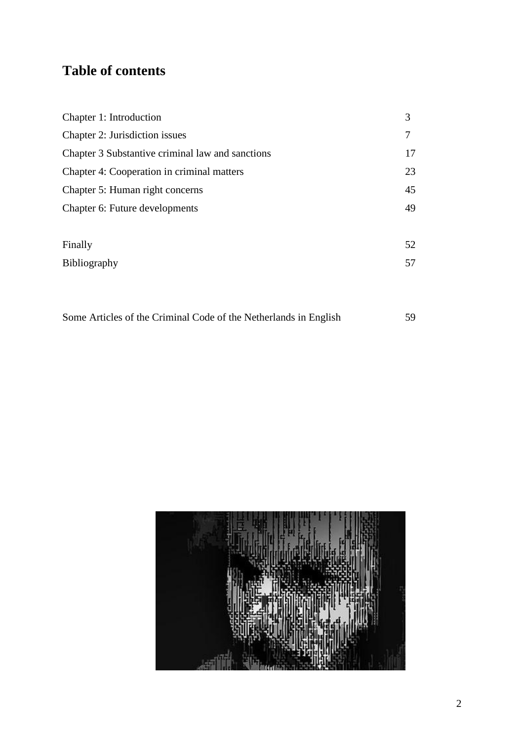# **Table of contents**

| Chapter 1: Introduction                          | 3  |
|--------------------------------------------------|----|
| Chapter 2: Jurisdiction issues                   |    |
| Chapter 3 Substantive criminal law and sanctions | 17 |
| Chapter 4: Cooperation in criminal matters       | 23 |
| Chapter 5: Human right concerns                  | 45 |
| Chapter 6: Future developments                   | 49 |
|                                                  |    |
| Finally                                          | 52 |
| Bibliography                                     | 57 |
|                                                  |    |

|  |  |  | Some Articles of the Criminal Code of the Netherlands in English |  |
|--|--|--|------------------------------------------------------------------|--|
|  |  |  |                                                                  |  |

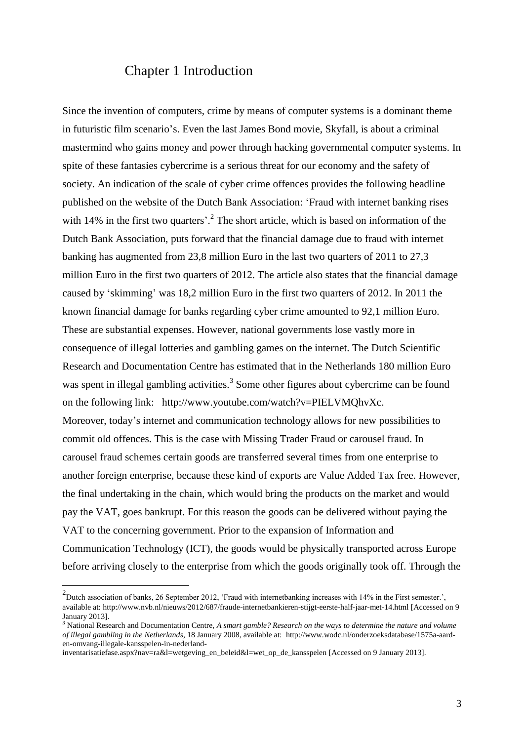## Chapter 1 Introduction

Since the invention of computers, crime by means of computer systems is a dominant theme in futuristic film scenario's. Even the last James Bond movie, Skyfall, is about a criminal mastermind who gains money and power through hacking governmental computer systems. In spite of these fantasies cybercrime is a serious threat for our economy and the safety of society. An indication of the scale of cyber crime offences provides the following headline published on the website of the Dutch Bank Association: 'Fraud with internet banking rises with 14% in the first two quarters<sup>'. 2</sup> The short article, which is based on information of the Dutch Bank Association, puts forward that the financial damage due to fraud with internet banking has augmented from 23,8 million Euro in the last two quarters of 2011 to 27,3 million Euro in the first two quarters of 2012. The article also states that the financial damage caused by 'skimming' was 18,2 million Euro in the first two quarters of 2012. In 2011 the known financial damage for banks regarding cyber crime amounted to 92,1 million Euro. These are substantial expenses. However, national governments lose vastly more in consequence of illegal lotteries and gambling games on the internet. The Dutch Scientific Research and Documentation Centre has estimated that in the Netherlands 180 million Euro was spent in illegal gambling activities.<sup>3</sup> Some other figures about cybercrime can be found on the following link: http://www.youtube.com/watch?v=PIELVMQhvXc. Moreover, today's internet and communication technology allows for new possibilities to commit old offences. This is the case with Missing Trader Fraud or carousel fraud. In carousel fraud schemes certain goods are transferred several times from one enterprise to another foreign enterprise, because these kind of exports are Value Added Tax free. However, the final undertaking in the chain, which would bring the products on the market and would pay the VAT, goes bankrupt. For this reason the goods can be delivered without paying the VAT to the concerning government. Prior to the expansion of Information and Communication Technology (ICT), the goods would be physically transported across Europe before arriving closely to the enterprise from which the goods originally took off. Through the

 $^{2}$ Dutch association of banks, 26 September 2012, 'Fraud with internetbanking increases with 14% in the First semester.', available at: http://www.nvb.nl/nieuws/2012/687/fraude-internetbankieren-stijgt-eerste-half-jaar-met-14.html [Accessed on 9 January 2013].

<sup>3</sup> National Research and Documentation Centre, *A smart gamble? Research on the ways to determine the nature and volume of illegal gambling in the Netherlands*, 18 January 2008, available at: [http://www.wodc.nl/onderzoeksdatabase/1575a-aard](http://www.wodc.nl/onderzoeksdatabase/1575a-aard-en-omvang-illegale-kansspelen-in-nederland-inventarisatiefase.aspx?nav=ra&l=wetgeving_en_beleid&l=wet_op_de_kansspelen)[en-omvang-illegale-kansspelen-in-nederland-](http://www.wodc.nl/onderzoeksdatabase/1575a-aard-en-omvang-illegale-kansspelen-in-nederland-inventarisatiefase.aspx?nav=ra&l=wetgeving_en_beleid&l=wet_op_de_kansspelen)

[inventarisatiefase.aspx?nav=ra&l=wetgeving\\_en\\_beleid&l=wet\\_op\\_de\\_kansspelen](http://www.wodc.nl/onderzoeksdatabase/1575a-aard-en-omvang-illegale-kansspelen-in-nederland-inventarisatiefase.aspx?nav=ra&l=wetgeving_en_beleid&l=wet_op_de_kansspelen) [Accessed on 9 January 2013].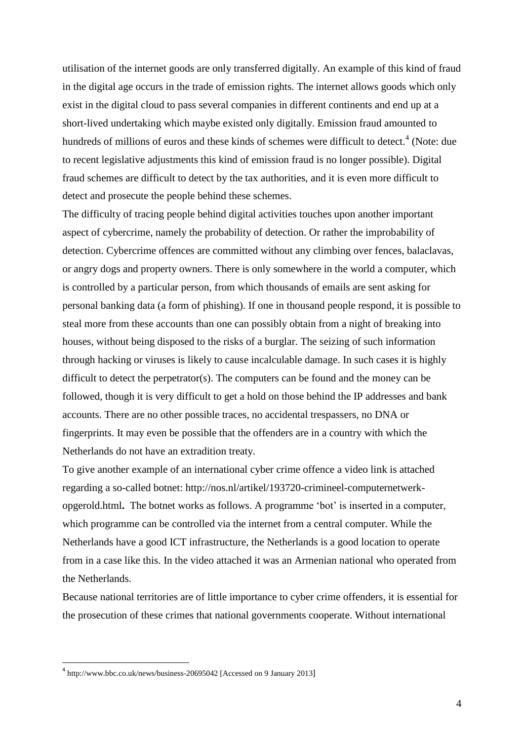utilisation of the internet goods are only transferred digitally. An example of this kind of fraud in the digital age occurs in the trade of emission rights. The internet allows goods which only exist in the digital cloud to pass several companies in different continents and end up at a short-lived undertaking which maybe existed only digitally. Emission fraud amounted to hundreds of millions of euros and these kinds of schemes were difficult to detect.<sup>4</sup> (Note: due to recent legislative adjustments this kind of emission fraud is no longer possible). Digital fraud schemes are difficult to detect by the tax authorities, and it is even more difficult to detect and prosecute the people behind these schemes.

The difficulty of tracing people behind digital activities touches upon another important aspect of cybercrime, namely the probability of detection. Or rather the improbability of detection. Cybercrime offences are committed without any climbing over fences, balaclavas, or angry dogs and property owners. There is only somewhere in the world a computer, which is controlled by a particular person, from which thousands of emails are sent asking for personal banking data (a form of phishing). If one in thousand people respond, it is possible to steal more from these accounts than one can possibly obtain from a night of breaking into houses, without being disposed to the risks of a burglar. The seizing of such information through hacking or viruses is likely to cause incalculable damage. In such cases it is highly difficult to detect the perpetrator(s). The computers can be found and the money can be followed, though it is very difficult to get a hold on those behind the IP addresses and bank accounts. There are no other possible traces, no accidental trespassers, no DNA or fingerprints. It may even be possible that the offenders are in a country with which the Netherlands do not have an extradition treaty.

To give another example of an international cyber crime offence a video link is attached regarding a so-called botnet: http://nos.nl/artikel/193720-crimineel-computernetwerkopgerold.html**.** The botnet works as follows. A programme 'bot' is inserted in a computer, which programme can be controlled via the internet from a central computer. While the Netherlands have a good ICT infrastructure, the Netherlands is a good location to operate from in a case like this. In the video attached it was an Armenian national who operated from the Netherlands.

Because national territories are of little importance to cyber crime offenders, it is essential for the prosecution of these crimes that national governments cooperate. Without international

<sup>&</sup>lt;sup>4</sup> <http://www.bbc.co.uk/news/business-20695042> [Accessed on 9 January 2013]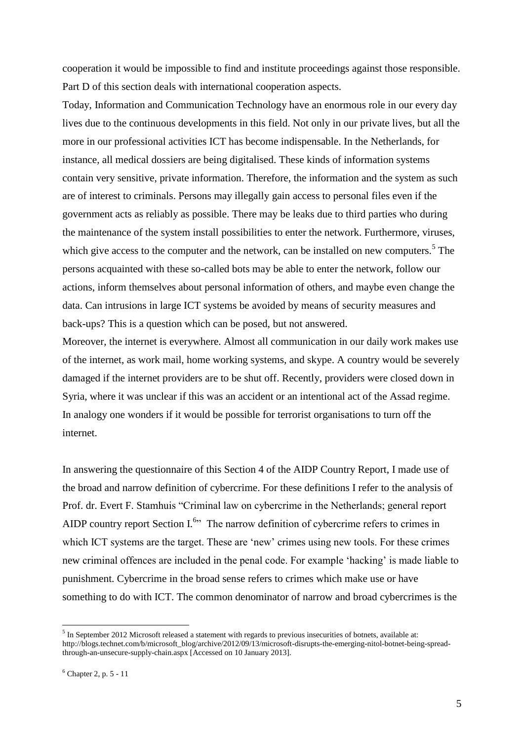cooperation it would be impossible to find and institute proceedings against those responsible. Part D of this section deals with international cooperation aspects.

Today, Information and Communication Technology have an enormous role in our every day lives due to the continuous developments in this field. Not only in our private lives, but all the more in our professional activities ICT has become indispensable. In the Netherlands, for instance, all medical dossiers are being digitalised. These kinds of information systems contain very sensitive, private information. Therefore, the information and the system as such are of interest to criminals. Persons may illegally gain access to personal files even if the government acts as reliably as possible. There may be leaks due to third parties who during the maintenance of the system install possibilities to enter the network. Furthermore, viruses, which give access to the computer and the network, can be installed on new computers.<sup>5</sup> The persons acquainted with these so-called bots may be able to enter the network, follow our actions, inform themselves about personal information of others, and maybe even change the data. Can intrusions in large ICT systems be avoided by means of security measures and back-ups? This is a question which can be posed, but not answered.

Moreover, the internet is everywhere. Almost all communication in our daily work makes use of the internet, as work mail, home working systems, and skype. A country would be severely damaged if the internet providers are to be shut off. Recently, providers were closed down in Syria, where it was unclear if this was an accident or an intentional act of the Assad regime. In analogy one wonders if it would be possible for terrorist organisations to turn off the internet.

In answering the questionnaire of this Section 4 of the AIDP Country Report, I made use of the broad and narrow definition of cybercrime. For these definitions I refer to the analysis of Prof. dr. Evert F. Stamhuis "Criminal law on cybercrime in the Netherlands; general report AIDP country report Section  $I^{6*}$  The narrow definition of cybercrime refers to crimes in which ICT systems are the target. These are 'new' crimes using new tools. For these crimes new criminal offences are included in the penal code. For example 'hacking' is made liable to punishment. Cybercrime in the broad sense refers to crimes which make use or have something to do with ICT. The common denominator of narrow and broad cybercrimes is the

 $<sup>5</sup>$  In September 2012 Microsoft released a statement with regards to previous insecurities of botnets, available at:</sup> [http://blogs.technet.com/b/microsoft\\_blog/archive/2012/09/13/microsoft-disrupts-the-emerging-nitol-botnet-being-spread](http://blogs.technet.com/b/microsoft_blog/archive/2012/09/13/microsoft-disrupts-the-emerging-nitol-botnet-being-spread-through-an-unsecure-supply-chain.aspx)[through-an-unsecure-supply-chain.aspx](http://blogs.technet.com/b/microsoft_blog/archive/2012/09/13/microsoft-disrupts-the-emerging-nitol-botnet-being-spread-through-an-unsecure-supply-chain.aspx) [Accessed on 10 January 2013].

 $6$  Chapter 2, p. 5 - 11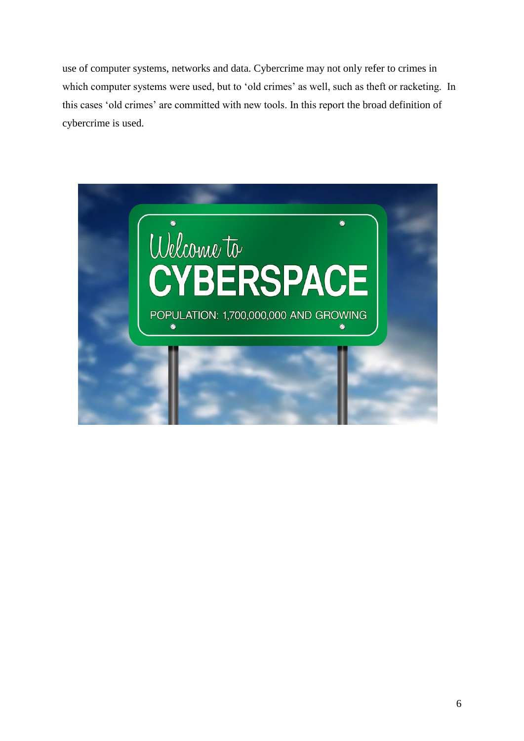use of computer systems, networks and data. Cybercrime may not only refer to crimes in which computer systems were used, but to 'old crimes' as well, such as theft or racketing. In this cases 'old crimes' are committed with new tools. In this report the broad definition of cybercrime is used.

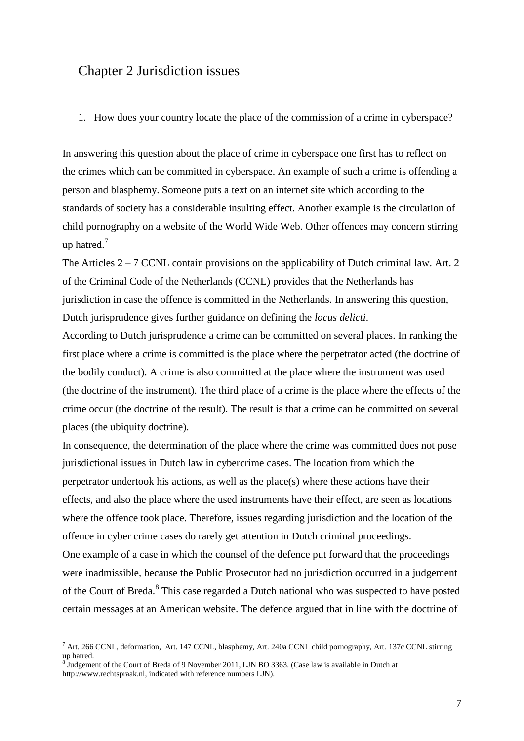### Chapter 2 Jurisdiction issues

#### 1. How does your country locate the place of the commission of a crime in cyberspace?

In answering this question about the place of crime in cyberspace one first has to reflect on the crimes which can be committed in cyberspace. An example of such a crime is offending a person and blasphemy. Someone puts a text on an internet site which according to the standards of society has a considerable insulting effect. Another example is the circulation of child pornography on a website of the World Wide Web. Other offences may concern stirring up hatred.<sup>7</sup>

The Articles  $2 - 7$  CCNL contain provisions on the applicability of Dutch criminal law. Art. 2 of the Criminal Code of the Netherlands (CCNL) provides that the Netherlands has jurisdiction in case the offence is committed in the Netherlands. In answering this question, Dutch jurisprudence gives further guidance on defining the *locus delicti*.

According to Dutch jurisprudence a crime can be committed on several places. In ranking the first place where a crime is committed is the place where the perpetrator acted (the doctrine of the bodily conduct). A crime is also committed at the place where the instrument was used (the doctrine of the instrument). The third place of a crime is the place where the effects of the crime occur (the doctrine of the result). The result is that a crime can be committed on several places (the ubiquity doctrine).

In consequence, the determination of the place where the crime was committed does not pose jurisdictional issues in Dutch law in cybercrime cases. The location from which the perpetrator undertook his actions, as well as the place(s) where these actions have their effects, and also the place where the used instruments have their effect, are seen as locations where the offence took place. Therefore, issues regarding jurisdiction and the location of the offence in cyber crime cases do rarely get attention in Dutch criminal proceedings. One example of a case in which the counsel of the defence put forward that the proceedings were inadmissible, because the Public Prosecutor had no jurisdiction occurred in a judgement of the Court of Breda.<sup>8</sup> This case regarded a Dutch national who was suspected to have posted certain messages at an American website. The defence argued that in line with the doctrine of

 $^7$  Art. 266 CCNL, deformation, Art. 147 CCNL, blasphemy, Art. 240a CCNL child pornography, Art. 137c CCNL stirring up hatred.

<sup>&</sup>lt;sup>8</sup> Judgement of the Court of Breda of 9 November 2011, LJN BO 3363. (Case law is available in Dutch at http://www.rechtspraak.nl, indicated with reference numbers LJN).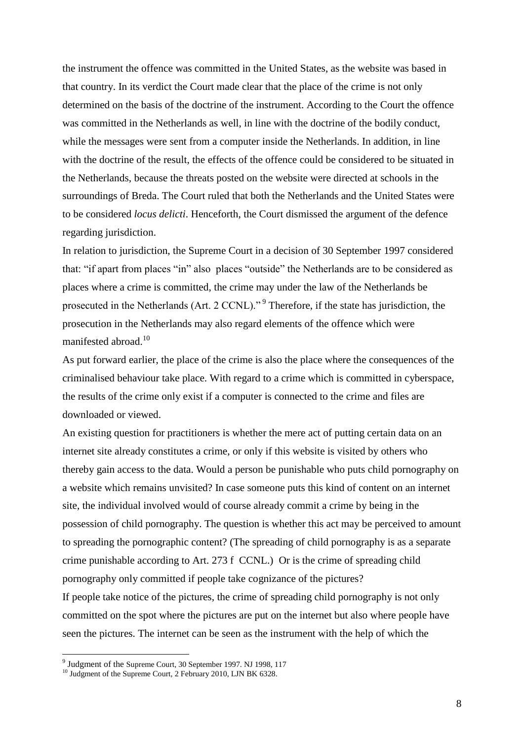the instrument the offence was committed in the United States, as the website was based in that country. In its verdict the Court made clear that the place of the crime is not only determined on the basis of the doctrine of the instrument. According to the Court the offence was committed in the Netherlands as well, in line with the doctrine of the bodily conduct, while the messages were sent from a computer inside the Netherlands. In addition, in line with the doctrine of the result, the effects of the offence could be considered to be situated in the Netherlands, because the threats posted on the website were directed at schools in the surroundings of Breda. The Court ruled that both the Netherlands and the United States were to be considered *locus delicti*. Henceforth, the Court dismissed the argument of the defence regarding jurisdiction.

In relation to jurisdiction, the Supreme Court in a decision of 30 September 1997 considered that: "if apart from places "in" also places "outside" the Netherlands are to be considered as places where a crime is committed, the crime may under the law of the Netherlands be prosecuted in the Netherlands (Art. 2 CCNL)."<sup>9</sup> Therefore, if the state has jurisdiction, the prosecution in the Netherlands may also regard elements of the offence which were manifested abroad.<sup>10</sup>

As put forward earlier, the place of the crime is also the place where the consequences of the criminalised behaviour take place. With regard to a crime which is committed in cyberspace, the results of the crime only exist if a computer is connected to the crime and files are downloaded or viewed.

An existing question for practitioners is whether the mere act of putting certain data on an internet site already constitutes a crime, or only if this website is visited by others who thereby gain access to the data. Would a person be punishable who puts child pornography on a website which remains unvisited? In case someone puts this kind of content on an internet site, the individual involved would of course already commit a crime by being in the possession of child pornography. The question is whether this act may be perceived to amount to spreading the pornographic content? (The spreading of child pornography is as a separate crime punishable according to Art. 273 f CCNL.) Or is the crime of spreading child pornography only committed if people take cognizance of the pictures? If people take notice of the pictures, the crime of spreading child pornography is not only committed on the spot where the pictures are put on the internet but also where people have seen the pictures. The internet can be seen as the instrument with the help of which the

<sup>&</sup>lt;sup>9</sup> Judgment of the Supreme Court, 30 September 1997. NJ 1998, 117

<sup>&</sup>lt;sup>10</sup> Judgment of the Supreme Court, 2 February 2010, LJN BK 6328.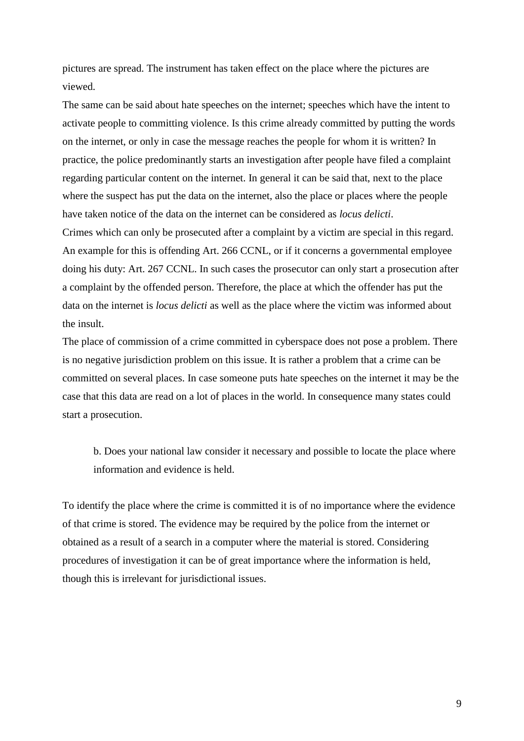pictures are spread. The instrument has taken effect on the place where the pictures are viewed.

The same can be said about hate speeches on the internet; speeches which have the intent to activate people to committing violence. Is this crime already committed by putting the words on the internet, or only in case the message reaches the people for whom it is written? In practice, the police predominantly starts an investigation after people have filed a complaint regarding particular content on the internet. In general it can be said that, next to the place where the suspect has put the data on the internet, also the place or places where the people have taken notice of the data on the internet can be considered as *locus delicti*.

Crimes which can only be prosecuted after a complaint by a victim are special in this regard. An example for this is offending Art. 266 CCNL, or if it concerns a governmental employee doing his duty: Art. 267 CCNL. In such cases the prosecutor can only start a prosecution after a complaint by the offended person. Therefore, the place at which the offender has put the data on the internet is *locus delicti* as well as the place where the victim was informed about the insult.

The place of commission of a crime committed in cyberspace does not pose a problem. There is no negative jurisdiction problem on this issue. It is rather a problem that a crime can be committed on several places. In case someone puts hate speeches on the internet it may be the case that this data are read on a lot of places in the world. In consequence many states could start a prosecution.

b. Does your national law consider it necessary and possible to locate the place where information and evidence is held.

To identify the place where the crime is committed it is of no importance where the evidence of that crime is stored. The evidence may be required by the police from the internet or obtained as a result of a search in a computer where the material is stored. Considering procedures of investigation it can be of great importance where the information is held, though this is irrelevant for jurisdictional issues.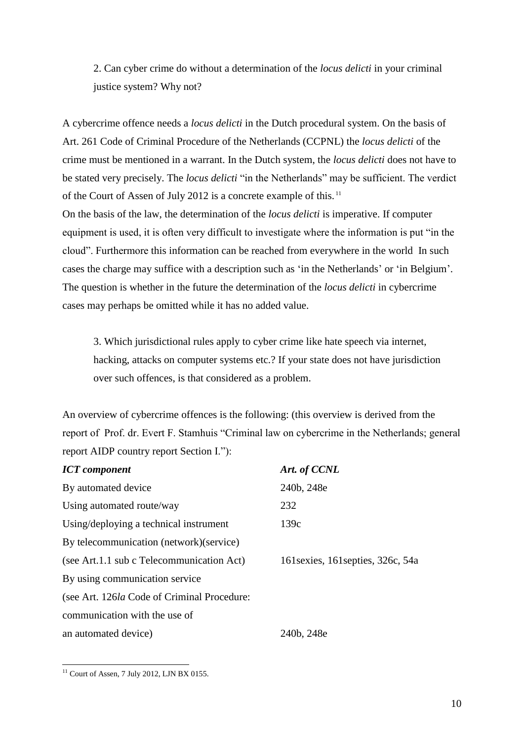2. Can cyber crime do without a determination of the *locus delicti* in your criminal justice system? Why not?

A cybercrime offence needs a *locus delicti* in the Dutch procedural system. On the basis of Art. 261 Code of Criminal Procedure of the Netherlands (CCPNL) the *locus delicti* of the crime must be mentioned in a warrant. In the Dutch system, the *locus delicti* does not have to be stated very precisely. The *locus delicti* "in the Netherlands" may be sufficient. The verdict of the Court of Assen of July 2012 is a concrete example of this. <sup>11</sup> On the basis of the law, the determination of the *locus delicti* is imperative. If computer equipment is used, it is often very difficult to investigate where the information is put "in the cloud". Furthermore this information can be reached from everywhere in the world In such cases the charge may suffice with a description such as 'in the Netherlands' or 'in Belgium'.

The question is whether in the future the determination of the *locus delicti* in cybercrime cases may perhaps be omitted while it has no added value.

3. Which jurisdictional rules apply to cyber crime like hate speech via internet, hacking, attacks on computer systems etc.? If your state does not have jurisdiction over such offences, is that considered as a problem.

An overview of cybercrime offences is the following: (this overview is derived from the report of Prof. dr. Evert F. Stamhuis "Criminal law on cybercrime in the Netherlands; general report AIDP country report Section I."):

| <b>ICT</b> component                        | Art. of CCNL                       |
|---------------------------------------------|------------------------------------|
| By automated device                         | 240b, 248e                         |
| Using automated route/way                   | 232                                |
| Using/deploying a technical instrument      | 139c                               |
| By telecommunication (network) (service)    |                                    |
| (see Art.1.1 sub c Telecommunication Act)   | 161 sexies, 161 septies, 326c, 54a |
| By using communication service              |                                    |
| (see Art. 126la Code of Criminal Procedure: |                                    |
| communication with the use of               |                                    |
| an automated device)                        | 240b, 248e                         |

 $\overline{a}$  $11$  Court of Assen, 7 July 2012, LJN BX 0155.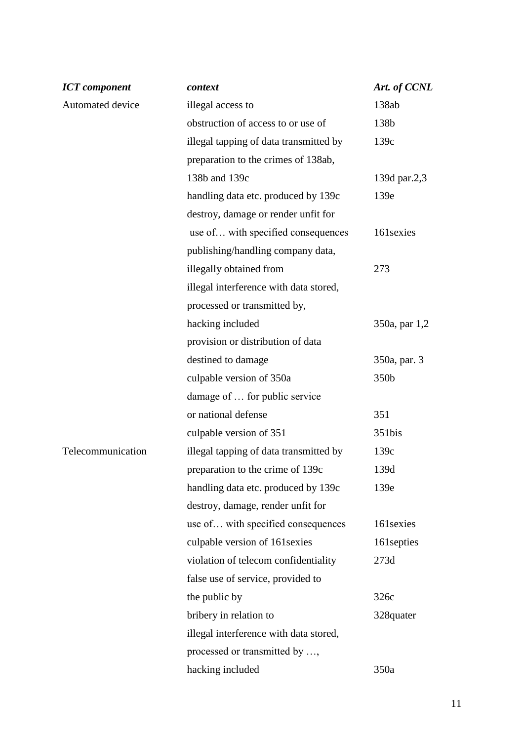| <b>ICT</b> component | context                                | Art. of CCNL  |
|----------------------|----------------------------------------|---------------|
| Automated device     | illegal access to                      | 138ab         |
|                      | obstruction of access to or use of     | 138b          |
|                      | illegal tapping of data transmitted by | 139c          |
|                      | preparation to the crimes of 138ab,    |               |
|                      | 138b and 139c                          | 139d par.2,3  |
|                      | handling data etc. produced by 139c    | 139e          |
|                      | destroy, damage or render unfit for    |               |
|                      | use of with specified consequences     | 161 sexies    |
|                      | publishing/handling company data,      |               |
|                      | illegally obtained from                | 273           |
|                      | illegal interference with data stored, |               |
|                      | processed or transmitted by,           |               |
|                      | hacking included                       | 350a, par 1,2 |
|                      | provision or distribution of data      |               |
|                      | destined to damage                     | 350a, par. 3  |
|                      | culpable version of 350a               | 350b          |
|                      | damage of  for public service          |               |
|                      | or national defense                    | 351           |
|                      | culpable version of 351                | 351bis        |
| Telecommunication    | illegal tapping of data transmitted by | 139c          |
|                      | preparation to the crime of 139c       | 139d          |
|                      | handling data etc. produced by 139c    | 139e          |
|                      | destroy, damage, render unfit for      |               |
|                      | use of with specified consequences     | 161 sexies    |
|                      | culpable version of 161 sexies         | 161 septies   |
|                      | violation of telecom confidentiality   | 273d          |
|                      | false use of service, provided to      |               |
|                      | the public by                          | 326c          |
|                      | bribery in relation to                 | 328quater     |
|                      | illegal interference with data stored, |               |
|                      | processed or transmitted by ,          |               |
|                      | hacking included                       | 350a          |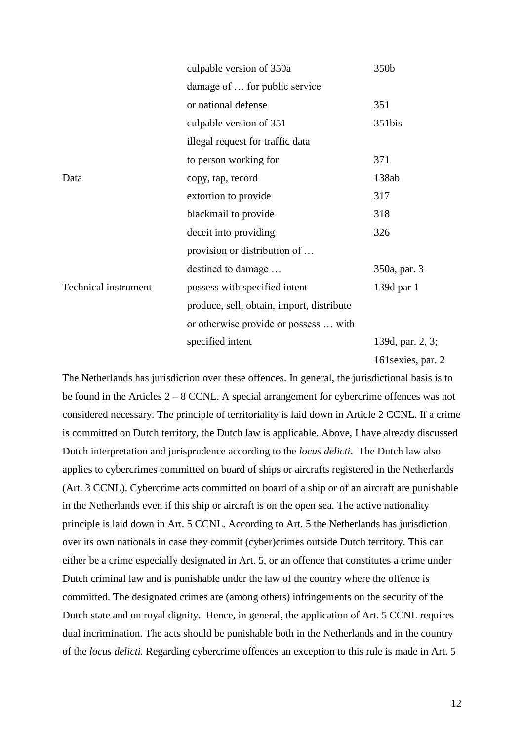|                             | culpable version of 350a                  | 350b               |
|-----------------------------|-------------------------------------------|--------------------|
|                             | damage of  for public service             |                    |
|                             | or national defense                       | 351                |
|                             | culpable version of 351                   | 351bis             |
|                             | illegal request for traffic data          |                    |
|                             | to person working for                     | 371                |
| Data                        | copy, tap, record                         | 138ab              |
|                             | extortion to provide                      | 317                |
|                             | blackmail to provide                      | 318                |
|                             | deceit into providing                     | 326                |
|                             | provision or distribution of              |                    |
|                             | destined to damage                        | 350a, par. 3       |
| <b>Technical instrument</b> | possess with specified intent             | 139d par 1         |
|                             | produce, sell, obtain, import, distribute |                    |
|                             | or otherwise provide or possess  with     |                    |
|                             | specified intent                          | 139d, par. 2, 3;   |
|                             |                                           | 161 sexies, par. 2 |

The Netherlands has jurisdiction over these offences. In general, the jurisdictional basis is to be found in the Articles 2 – 8 CCNL. A special arrangement for cybercrime offences was not considered necessary. The principle of territoriality is laid down in Article 2 CCNL. If a crime is committed on Dutch territory, the Dutch law is applicable. Above, I have already discussed Dutch interpretation and jurisprudence according to the *locus delicti*. The Dutch law also applies to cybercrimes committed on board of ships or aircrafts registered in the Netherlands (Art. 3 CCNL). Cybercrime acts committed on board of a ship or of an aircraft are punishable in the Netherlands even if this ship or aircraft is on the open sea. The active nationality principle is laid down in Art. 5 CCNL. According to Art. 5 the Netherlands has jurisdiction over its own nationals in case they commit (cyber)crimes outside Dutch territory. This can either be a crime especially designated in Art. 5, or an offence that constitutes a crime under Dutch criminal law and is punishable under the law of the country where the offence is committed. The designated crimes are (among others) infringements on the security of the Dutch state and on royal dignity. Hence, in general, the application of Art. 5 CCNL requires dual incrimination. The acts should be punishable both in the Netherlands and in the country of the *locus delicti.* Regarding cybercrime offences an exception to this rule is made in Art. 5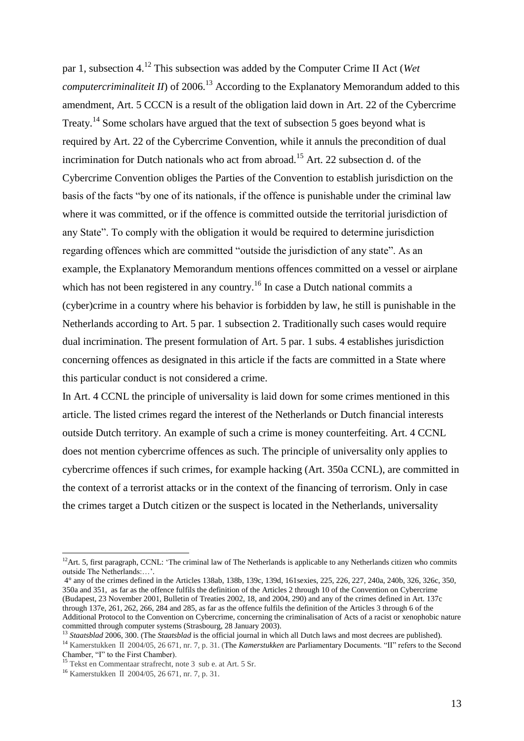par 1, subsection 4.<sup>12</sup> This subsection was added by the Computer Crime II Act (*Wet computercriminaliteit II*) of 2006.<sup>13</sup> According to the Explanatory Memorandum added to this amendment, Art. 5 CCCN is a result of the obligation laid down in Art. 22 of the Cybercrime Treaty.<sup>14</sup> Some scholars have argued that the text of subsection 5 goes beyond what is required by Art. 22 of the Cybercrime Convention, while it annuls the precondition of dual incrimination for Dutch nationals who act from abroad.<sup>15</sup> Art. 22 subsection d. of the Cybercrime Convention obliges the Parties of the Convention to establish jurisdiction on the basis of the facts "by one of its nationals, if the offence is punishable under the criminal law where it was committed, or if the offence is committed outside the territorial jurisdiction of any State". To comply with the obligation it would be required to determine jurisdiction regarding offences which are committed "outside the jurisdiction of any state". As an example, the Explanatory Memorandum mentions offences committed on a vessel or airplane which has not been registered in any country.<sup>16</sup> In case a Dutch national commits a (cyber)crime in a country where his behavior is forbidden by law, he still is punishable in the Netherlands according to Art. 5 par. 1 subsection 2. Traditionally such cases would require dual incrimination. The present formulation of Art. 5 par. 1 subs. 4 establishes jurisdiction concerning offences as designated in this article if the facts are committed in a State where this particular conduct is not considered a crime.

In Art. 4 CCNL the principle of universality is laid down for some crimes mentioned in this article. The listed crimes regard the interest of the Netherlands or Dutch financial interests outside Dutch territory. An example of such a crime is money counterfeiting. Art. 4 CCNL does not mention cybercrime offences as such. The principle of universality only applies to cybercrime offences if such crimes, for example hacking (Art. 350a CCNL), are committed in the context of a terrorist attacks or in the context of the financing of terrorism. Only in case the crimes target a Dutch citizen or the suspect is located in the Netherlands, universality

 $12$ Art. 5, first paragraph, CCNL: 'The criminal law of The Netherlands is applicable to any Netherlands citizen who commits outside The Netherlands:…'.

<sup>4°</sup> any of the crimes defined in the Articles [138ab,](http://maxius.nl/wetboek-van-strafrecht/artikel138ab/) [138b,](http://maxius.nl/wetboek-van-strafrecht/artikel138b/) [139c,](http://maxius.nl/wetboek-van-strafrecht/artikel139c/) [139d,](http://maxius.nl/wetboek-van-strafrecht/artikel139d/) [161sexies,](http://maxius.nl/wetboek-van-strafrecht/artikel161sexies/) [225,](http://maxius.nl/wetboek-van-strafrecht/artikel225/) [226,](http://maxius.nl/wetboek-van-strafrecht/artikel226/) [227,](http://maxius.nl/wetboek-van-strafrecht/artikel227/) [240a,](http://maxius.nl/wetboek-van-strafrecht/artikel240a/) [240b,](http://maxius.nl/wetboek-van-strafrecht/artikel240b/) [326,](http://maxius.nl/wetboek-van-strafrecht/artikel326/) [326c,](http://maxius.nl/wetboek-van-strafrecht/artikel326c/) [350,](http://maxius.nl/wetboek-van-strafrecht/artikel350/) [350a](http://maxius.nl/wetboek-van-strafrecht/artikel350a/) and [351,](http://maxius.nl/wetboek-van-strafrecht/artikel351/) as far as the offence fulfils the definition of the Articles 2 through 10 of the Convention on Cybercrime (Budapest, 23 November 2001, Bulletin of Treaties 2002, 18, and 2004, 290) and any of the crimes defined in Art. 137c through 137e, 261, 262, 266, 284 and 285, as far as the offence fulfils the definition of the Articles 3 through 6 of the Additional Protocol to the Convention on Cybercrime, concerning the criminalisation of Acts of a racist or xenophobic nature committed through computer systems (Strasbourg, 28 January 2003).

<sup>&</sup>lt;sup>13</sup> *Staatsblad* 2006, 300. (The *Staatsblad* is the official journal in which all Dutch laws and most decrees are published).

<sup>14</sup> Kamerstukken Ⅱ 2004/05, 26 671, nr. 7, p. 31. (The *Kamerstukken* are Parliamentary Documents. "II" refers to the Second Chamber, "I" to the First Chamber).

<sup>15</sup> Tekst en Commentaar strafrecht, note 3 sub e. at Art. 5 Sr.

<sup>16</sup> Kamerstukken Ⅱ 2004/05, 26 671, nr. 7, p. 31.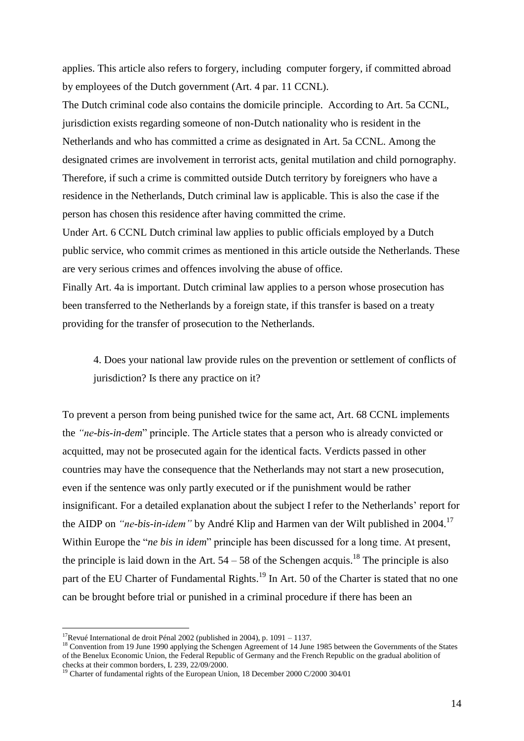applies. This article also refers to forgery, including computer forgery, if committed abroad by employees of the Dutch government (Art. 4 par. 11 CCNL).

The Dutch criminal code also contains the domicile principle. According to Art. 5a CCNL, jurisdiction exists regarding someone of non-Dutch nationality who is resident in the Netherlands and who has committed a crime as designated in Art. 5a CCNL. Among the designated crimes are involvement in terrorist acts, genital mutilation and child pornography. Therefore, if such a crime is committed outside Dutch territory by foreigners who have a residence in the Netherlands, Dutch criminal law is applicable. This is also the case if the person has chosen this residence after having committed the crime.

Under Art. 6 CCNL Dutch criminal law applies to public officials employed by a Dutch public service, who commit crimes as mentioned in this article outside the Netherlands. These are very serious crimes and offences involving the abuse of office.

Finally Art. 4a is important. Dutch criminal law applies to a person whose prosecution has been transferred to the Netherlands by a foreign state, if this transfer is based on a treaty providing for the transfer of prosecution to the Netherlands.

4. Does your national law provide rules on the prevention or settlement of conflicts of jurisdiction? Is there any practice on it?

To prevent a person from being punished twice for the same act, Art. 68 CCNL implements the *"ne-bis-in-dem*" principle. The Article states that a person who is already convicted or acquitted, may not be prosecuted again for the identical facts. Verdicts passed in other countries may have the consequence that the Netherlands may not start a new prosecution, even if the sentence was only partly executed or if the punishment would be rather insignificant. For a detailed explanation about the subject I refer to the Netherlands' report for the AIDP on *"ne-bis-in-idem"* by André Klip and Harmen van der Wilt published in 2004.<sup>17</sup> Within Europe the "*ne bis in idem*" principle has been discussed for a long time. At present, the principle is laid down in the Art.  $54 - 58$  of the Schengen acquis.<sup>18</sup> The principle is also part of the EU Charter of Fundamental Rights.<sup>19</sup> In Art. 50 of the Charter is stated that no one can be brought before trial or punished in a criminal procedure if there has been an

<sup>&</sup>lt;sup>17</sup>Revué International de droit Pénal 2002 (published in 2004), p. 1091 – 1137.

<sup>&</sup>lt;sup>18</sup> Convention from 19 June 1990 applying the Schengen Agreement of 14 June 1985 between the Governments of the States of the Benelux Economic Union, the Federal Republic of Germany and the French Republic on the gradual abolition of checks at their common borders, L 239, 22/09/2000.

<sup>&</sup>lt;sup>19</sup> Charter of fundamental rights of the European Union, 18 December 2000 C/2000 304/01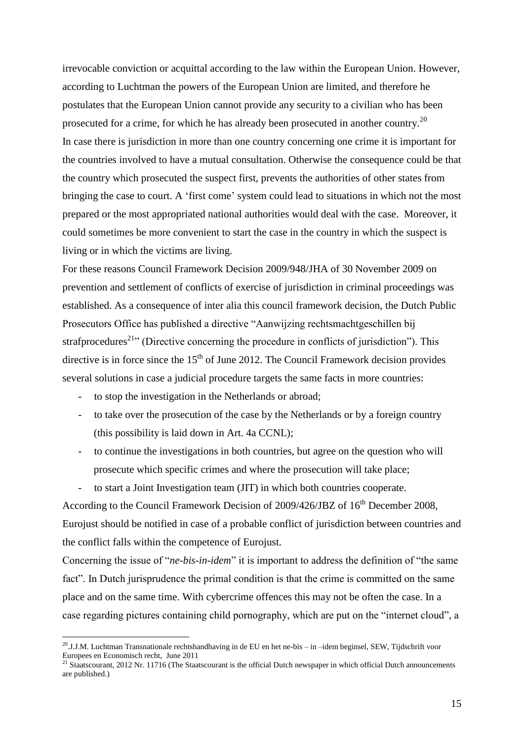irrevocable conviction or acquittal according to the law within the European Union. However, according to Luchtman the powers of the European Union are limited, and therefore he postulates that the European Union cannot provide any security to a civilian who has been prosecuted for a crime, for which he has already been prosecuted in another country.<sup>20</sup> In case there is jurisdiction in more than one country concerning one crime it is important for the countries involved to have a mutual consultation. Otherwise the consequence could be that the country which prosecuted the suspect first, prevents the authorities of other states from bringing the case to court. A 'first come' system could lead to situations in which not the most prepared or the most appropriated national authorities would deal with the case. Moreover, it could sometimes be more convenient to start the case in the country in which the suspect is living or in which the victims are living.

For these reasons Council Framework Decision 2009/948/JHA of 30 November 2009 on prevention and settlement of conflicts of exercise of jurisdiction in criminal proceedings was established. As a consequence of inter alia this council framework decision, the Dutch Public Prosecutors Office has published a directive "Aanwijzing rechtsmachtgeschillen bij strafprocedures<sup>21</sup>" (Directive concerning the procedure in conflicts of jurisdiction"). This directive is in force since the  $15<sup>th</sup>$  of June 2012. The Council Framework decision provides several solutions in case a judicial procedure targets the same facts in more countries:

- to stop the investigation in the Netherlands or abroad;

 $\overline{a}$ 

- to take over the prosecution of the case by the Netherlands or by a foreign country (this possibility is laid down in Art. 4a CCNL);
- to continue the investigations in both countries, but agree on the question who will prosecute which specific crimes and where the prosecution will take place;
- to start a Joint Investigation team (JIT) in which both countries cooperate.

According to the Council Framework Decision of 2009/426/JBZ of 16<sup>th</sup> December 2008, Eurojust should be notified in case of a probable conflict of jurisdiction between countries and the conflict falls within the competence of Eurojust.

Concerning the issue of "*ne-bis-in-idem*" it is important to address the definition of "the same fact". In Dutch jurisprudence the primal condition is that the crime is committed on the same place and on the same time. With cybercrime offences this may not be often the case. In a case regarding pictures containing child pornography, which are put on the "internet cloud", a

<sup>&</sup>lt;sup>20</sup>.J.J.M. Luchtman Transnationale rechtshandhaving in de EU en het ne-bis – in –idem beginsel, SEW, Tijdschrift voor Europees en Economisch recht, June 2011

 $21$  Staatscourant, 2012 Nr. 11716 (The Staatscourant is the official Dutch newspaper in which official Dutch announcements are published.)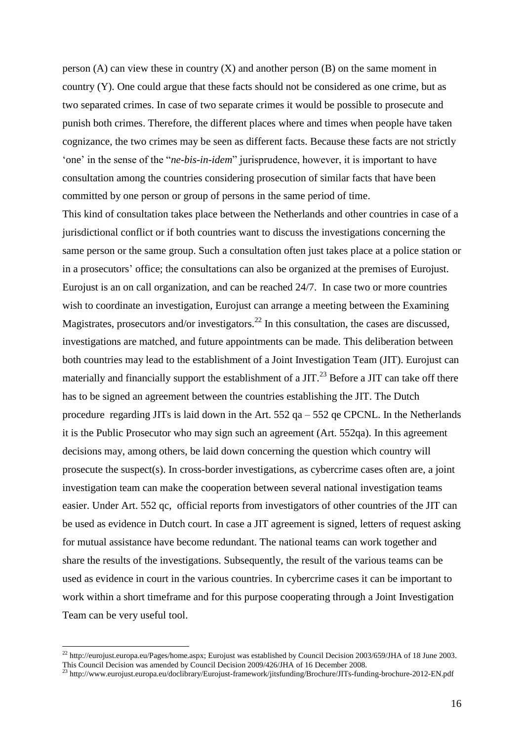person  $(A)$  can view these in country  $(X)$  and another person  $(B)$  on the same moment in country (Y). One could argue that these facts should not be considered as one crime, but as two separated crimes. In case of two separate crimes it would be possible to prosecute and punish both crimes. Therefore, the different places where and times when people have taken cognizance, the two crimes may be seen as different facts. Because these facts are not strictly 'one' in the sense of the "*ne-bis-in-idem*" jurisprudence, however, it is important to have consultation among the countries considering prosecution of similar facts that have been committed by one person or group of persons in the same period of time.

This kind of consultation takes place between the Netherlands and other countries in case of a jurisdictional conflict or if both countries want to discuss the investigations concerning the same person or the same group. Such a consultation often just takes place at a police station or in a prosecutors' office; the consultations can also be organized at the premises of Eurojust. Eurojust is an on call organization, and can be reached 24/7. In case two or more countries wish to coordinate an investigation, Eurojust can arrange a meeting between the Examining Magistrates, prosecutors and/or investigators.<sup>22</sup> In this consultation, the cases are discussed, investigations are matched, and future appointments can be made. This deliberation between both countries may lead to the establishment of a Joint Investigation Team (JIT). Eurojust can materially and financially support the establishment of a JIT.<sup>23</sup> Before a JIT can take off there has to be signed an agreement between the countries establishing the JIT. The Dutch procedure regarding JITs is laid down in the Art. 552 qa – 552 qe CPCNL. In the Netherlands it is the Public Prosecutor who may sign such an agreement (Art. 552qa). In this agreement decisions may, among others, be laid down concerning the question which country will prosecute the suspect(s). In cross-border investigations, as cybercrime cases often are, a joint investigation team can make the cooperation between several national investigation teams easier. Under Art. 552 qc, official reports from investigators of other countries of the JIT can be used as evidence in Dutch court. In case a JIT agreement is signed, letters of request asking for mutual assistance have become redundant. The national teams can work together and share the results of the investigations. Subsequently, the result of the various teams can be used as evidence in court in the various countries. In cybercrime cases it can be important to work within a short timeframe and for this purpose cooperating through a Joint Investigation Team can be very useful tool.

 $^{22}$  [http://eurojust.europa.eu/Pages/home.aspx;](http://eurojust.europa.eu/Pages/home.aspx) Eurojust was established by Council Decision 2003/659/JHA of 18 June 2003. This Council Decision was amended by Council Decision 2009/426/JHA of 16 December 2008.

<sup>&</sup>lt;sup>23</sup> http://www.eurojust.europa.eu/doclibrary/Eurojust-framework/jitsfunding/Brochure/JITs-funding-brochure-2012-EN.pdf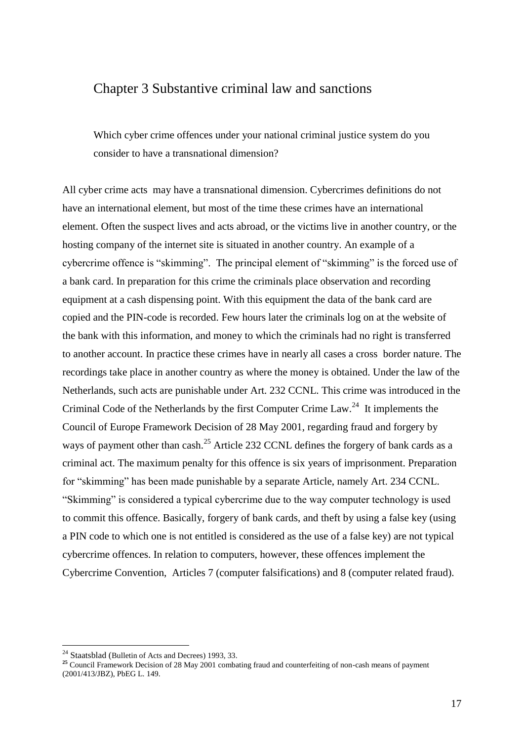### Chapter 3 Substantive criminal law and sanctions

Which cyber crime offences under your national criminal justice system do you consider to have a transnational dimension?

All cyber crime acts may have a transnational dimension. Cybercrimes definitions do not have an international element, but most of the time these crimes have an international element. Often the suspect lives and acts abroad, or the victims live in another country, or the hosting company of the internet site is situated in another country. An example of a cybercrime offence is "skimming". The principal element of "skimming" is the forced use of a bank card. In preparation for this crime the criminals place observation and recording equipment at a cash dispensing point. With this equipment the data of the bank card are copied and the PIN-code is recorded. Few hours later the criminals log on at the website of the bank with this information, and money to which the criminals had no right is transferred to another account. In practice these crimes have in nearly all cases a cross border nature. The recordings take place in another country as where the money is obtained. Under the law of the Netherlands, such acts are punishable under Art. 232 CCNL. This crime was introduced in the Criminal Code of the Netherlands by the first Computer Crime Law.<sup>24</sup> It implements the Council of Europe Framework Decision of 28 May 2001, regarding fraud and forgery by ways of payment other than cash.<sup>25</sup> Article 232 CCNL defines the forgery of bank cards as a criminal act. The maximum penalty for this offence is six years of imprisonment. Preparation for "skimming" has been made punishable by a separate Article, namely Art. 234 CCNL. "Skimming" is considered a typical cybercrime due to the way computer technology is used to commit this offence. Basically, forgery of bank cards, and theft by using a false key (using a PIN code to which one is not entitled is considered as the use of a false key) are not typical cybercrime offences. In relation to computers, however, these offences implement the Cybercrime Convention, Articles 7 (computer falsifications) and 8 (computer related fraud).

<sup>&</sup>lt;sup>24</sup> Staatsblad (Bulletin of Acts and Decrees) 1993, 33.

**<sup>25</sup>** Council Framework Decision of 28 May 2001 combating fraud and counterfeiting of non-cash means of payment (2001/413/JBZ), PbEG L. 149.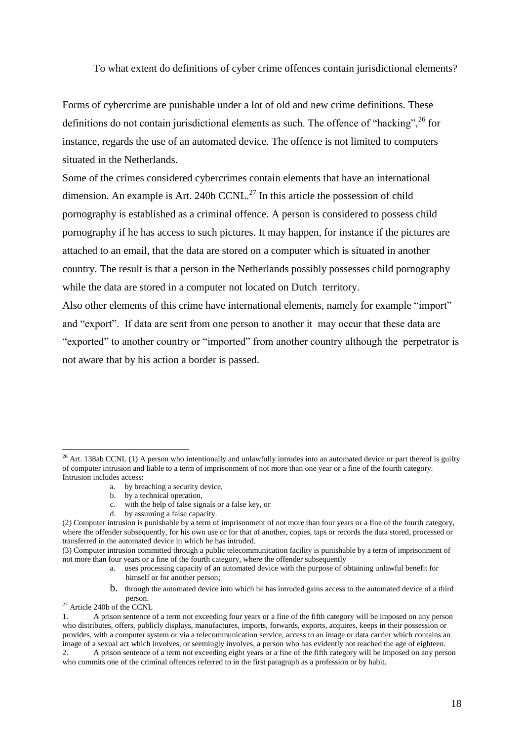To what extent do definitions of cyber crime offences contain jurisdictional elements?

Forms of cybercrime are punishable under a lot of old and new crime definitions. These definitions do not contain jurisdictional elements as such. The offence of "hacking",  $^{26}$  for instance, regards the use of an automated device. The offence is not limited to computers situated in the Netherlands.

Some of the crimes considered cybercrimes contain elements that have an international dimension. An example is Art. 240b CCNL.<sup>27</sup> In this article the possession of child pornography is established as a criminal offence. A person is considered to possess child pornography if he has access to such pictures. It may happen, for instance if the pictures are attached to an email, that the data are stored on a computer which is situated in another country. The result is that a person in the Netherlands possibly possesses child pornography while the data are stored in a computer not located on Dutch territory.

Also other elements of this crime have international elements, namely for example "import" and "export". If data are sent from one person to another it may occur that these data are "exported" to another country or "imported" from another country although the perpetrator is not aware that by his action a border is passed.

- a. by breaching a security device,
- b. by a technical operation,
- c. with the help of false signals or a false key, or
- d. by assuming a false capacity.

- a. uses processing capacity of an automated device with the purpose of obtaining unlawful benefit for himself or for another person;
- b. through the automated device into which he has intruded gains access to the automated device of a third person.

<sup>&</sup>lt;sup>26</sup> Art. 138ab CCNL (1) A person who intentionally and unlawfully intrudes into an automated device or part thereof is guilty of computer intrusion and liable to a term of imprisonment of not more than one year or a fine of the fourth category. Intrusion includes access:

<sup>(2)</sup> Computer intrusion is punishable by a term of imprisonment of not more than four years or a fine of the fourth category, where the offender subsequently, for his own use or for that of another, copies, taps or records the data stored, processed or transferred in the automated device in which he has intruded.

<sup>(3)</sup> Computer intrusion committed through a public telecommunication facility is punishable by a term of imprisonment of not more than four years or a fine of the fourth category, where the offender subsequently

<sup>&</sup>lt;sup>27</sup> Article 240b of the CCNL

<sup>1.</sup> A prison sentence of a term not exceeding four years or a fine of the fifth category will be imposed on any person who distributes, offers, publicly displays, manufactures, imports, forwards, exports, acquires, keeps in their possession or provides, with a computer system or via a telecommunication service, access to an image or data carrier which contains an image of a sexual act which involves, or seemingly involves, a person who has evidently not reached the age of eighteen.

<sup>2.</sup> A prison sentence of a term not exceeding eight years or a fine of the fifth category will be imposed on any person who commits one of the criminal offences referred to in the first paragraph as a profession or by habit.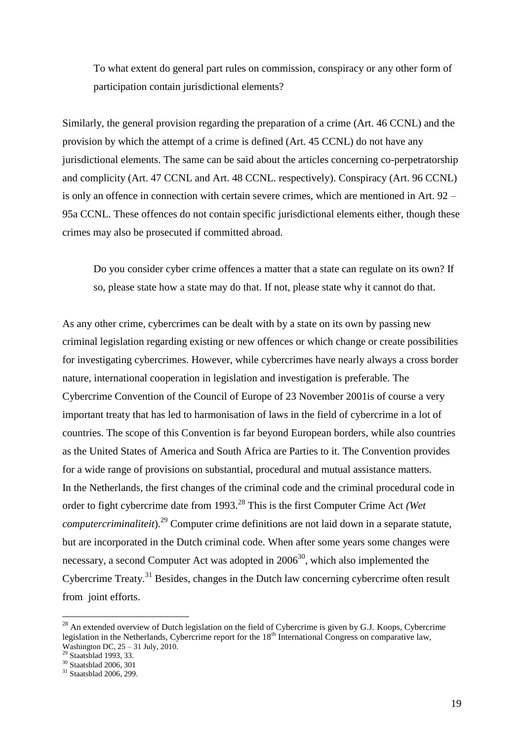To what extent do general part rules on commission, conspiracy or any other form of participation contain jurisdictional elements?

Similarly, the general provision regarding the preparation of a crime (Art. 46 CCNL) and the provision by which the attempt of a crime is defined (Art. 45 CCNL) do not have any jurisdictional elements. The same can be said about the articles concerning co-perpetratorship and complicity (Art. 47 CCNL and Art. 48 CCNL. respectively). Conspiracy (Art. 96 CCNL) is only an offence in connection with certain severe crimes, which are mentioned in Art. 92 – 95a CCNL. These offences do not contain specific jurisdictional elements either, though these crimes may also be prosecuted if committed abroad.

Do you consider cyber crime offences a matter that a state can regulate on its own? If so, please state how a state may do that. If not, please state why it cannot do that.

As any other crime, cybercrimes can be dealt with by a state on its own by passing new criminal legislation regarding existing or new offences or which change or create possibilities for investigating cybercrimes. However, while cybercrimes have nearly always a cross border nature, international cooperation in legislation and investigation is preferable. The Cybercrime Convention of the Council of Europe of 23 November 2001is of course a very important treaty that has led to harmonisation of laws in the field of cybercrime in a lot of countries. The scope of this Convention is far beyond European borders, while also countries as the United States of America and South Africa are Parties to it. The Convention provides for a wide range of provisions on substantial, procedural and mutual assistance matters. In the Netherlands, the first changes of the criminal code and the criminal procedural code in order to fight cybercrime date from 1993.<sup>28</sup> This is the first Computer Crime Act *(Wet computercriminaliteit*).<sup>29</sup> Computer crime definitions are not laid down in a separate statute, but are incorporated in the Dutch criminal code. When after some years some changes were necessary, a second Computer Act was adopted in  $2006^{30}$ , which also implemented the Cybercrime Treaty.<sup>31</sup> Besides, changes in the Dutch law concerning cybercrime often result from joint efforts.

 $^{28}$  An extended overview of Dutch legislation on the field of Cybercrime is given by G.J. Koops, Cybercrime legislation in the Netherlands, Cybercrime report for the  $18<sup>th</sup>$  International Congress on comparative law, Washington DC, 25 – 31 July, 2010.

<sup>&</sup>lt;sup>29</sup> Staatsblad 1993, 33.

<sup>30</sup> Staatsblad 2006, 301

 $31$  Staatsblad 2006, 299.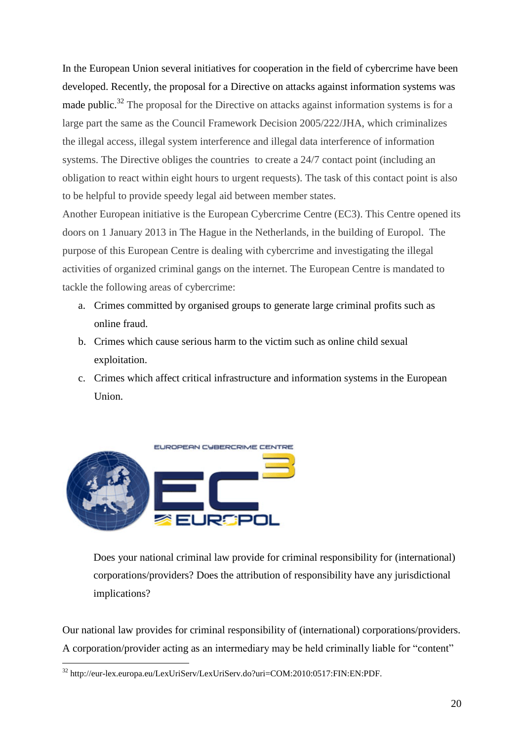In the European Union several initiatives for cooperation in the field of cybercrime have been developed. Recently, the proposal for a Directive on attacks against information systems was made public.<sup>32</sup> The proposal for the Directive on attacks against information systems is for a large part the same as the Council Framework Decision 2005/222/JHA, which criminalizes the illegal access, illegal system interference and illegal data interference of information systems. The Directive obliges the countries to create a 24/7 contact point (including an obligation to react within eight hours to urgent requests). The task of this contact point is also to be helpful to provide speedy legal aid between member states.

Another European initiative is the European Cybercrime Centre (EC3). This Centre opened its doors on 1 January 2013 in The Hague in the Netherlands, in the building of Europol. The purpose of this European Centre is dealing with cybercrime and investigating the illegal activities of organized criminal gangs on the internet. The European Centre is mandated to tackle the following areas of cybercrime:

- a. Crimes committed by organised groups to generate large criminal profits such as online fraud.
- b. Crimes which cause serious harm to the victim such as online child sexual exploitation.
- c. Crimes which affect critical infrastructure and information systems in the European Union.



 $\overline{a}$ 

Does your national criminal law provide for criminal responsibility for (international) corporations/providers? Does the attribution of responsibility have any jurisdictional implications?

Our national law provides for criminal responsibility of (international) corporations/providers. A corporation/provider acting as an intermediary may be held criminally liable for "content"

<sup>32</sup> http://eur-lex.europa.eu/LexUriServ/LexUriServ.do?uri=COM:2010:0517:FIN:EN:PDF.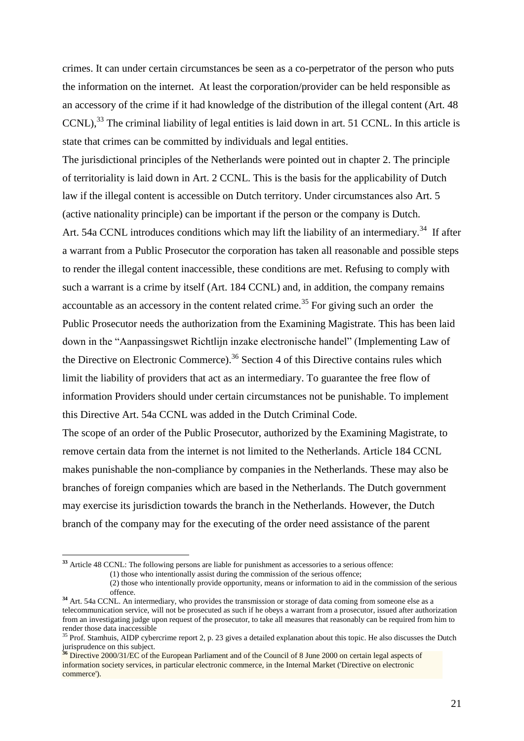crimes. It can under certain circumstances be seen as a co-perpetrator of the person who puts the information on the internet. At least the corporation/provider can be held responsible as an accessory of the crime if it had knowledge of the distribution of the illegal content (Art. 48  $CCNL$ ,<sup>33</sup> The criminal liability of legal entities is laid down in art. 51 CCNL. In this article is state that crimes can be committed by individuals and legal entities.

The jurisdictional principles of the Netherlands were pointed out in chapter 2. The principle of territoriality is laid down in Art. 2 CCNL. This is the basis for the applicability of Dutch law if the illegal content is accessible on Dutch territory. Under circumstances also Art. 5 (active nationality principle) can be important if the person or the company is Dutch. Art. 54a CCNL introduces conditions which may lift the liability of an intermediary.<sup>34</sup> If after a warrant from a Public Prosecutor the corporation has taken all reasonable and possible steps to render the illegal content inaccessible, these conditions are met. Refusing to comply with such a warrant is a crime by itself (Art. 184 CCNL) and, in addition, the company remains accountable as an accessory in the content related crime.<sup>35</sup> For giving such an order the Public Prosecutor needs the authorization from the Examining Magistrate. This has been laid down in the "Aanpassingswet Richtlijn inzake electronische handel" (Implementing Law of the Directive on Electronic Commerce).<sup>36</sup> Section 4 of this Directive contains rules which limit the liability of providers that act as an intermediary. To guarantee the free flow of information Providers should under certain circumstances not be punishable. To implement this Directive Art. 54a CCNL was added in the Dutch Criminal Code. The scope of an order of the Public Prosecutor, authorized by the Examining Magistrate, to remove certain data from the internet is not limited to the Netherlands. Article 184 CCNL makes punishable the non-compliance by companies in the Netherlands. These may also be branches of foreign companies which are based in the Netherlands. The Dutch government may exercise its jurisdiction towards the branch in the Netherlands. However, the Dutch branch of the company may for the executing of the order need assistance of the parent

**<sup>33</sup>** Article 48 CCNL: The following persons are liable for punishment as accessories to a serious offence:

<sup>(1)</sup> those who intentionally assist during the commission of the serious offence;

<sup>(2)</sup> those who intentionally provide opportunity, means or information to aid in the commission of the serious offence.

**<sup>34</sup>** Art. 54a CCNL. An intermediary, who provides the transmission or storage of data coming from someone else as a telecommunication service, will not be prosecuted as such if he obeys a warrant from a prosecutor, issued after authorization from an investigating judge upon request of the prosecutor, to take all measures that reasonably can be required from him to render those data inaccessible

 $35$  Prof. Stamhuis, AIDP cybercrime report 2, p. 23 gives a detailed explanation about this topic. He also discusses the Dutch jurisprudence on this subject.

**<sup>36</sup>** Directive 2000/31/EC of the European Parliament and of the Council of 8 June 2000 on certain legal aspects of information society services, in particular electronic commerce, in the Internal Market ('Directive on electronic commerce').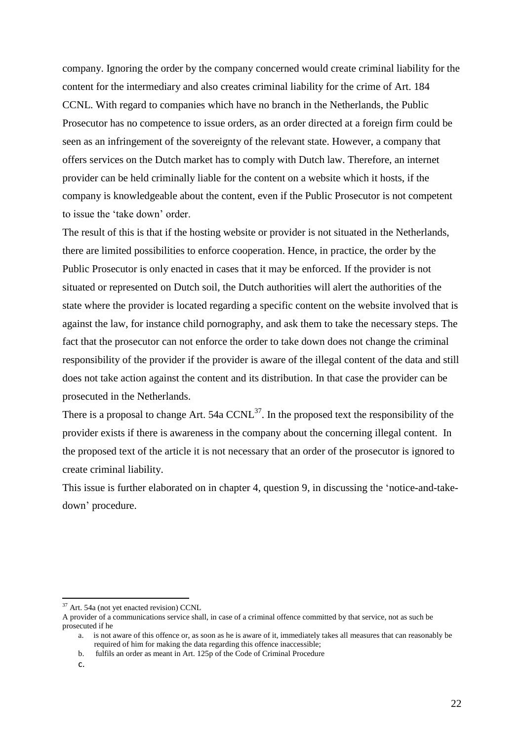company. Ignoring the order by the company concerned would create criminal liability for the content for the intermediary and also creates criminal liability for the crime of Art. 184 CCNL. With regard to companies which have no branch in the Netherlands, the Public Prosecutor has no competence to issue orders, as an order directed at a foreign firm could be seen as an infringement of the sovereignty of the relevant state. However, a company that offers services on the Dutch market has to comply with Dutch law. Therefore, an internet provider can be held criminally liable for the content on a website which it hosts, if the company is knowledgeable about the content, even if the Public Prosecutor is not competent to issue the 'take down' order.

The result of this is that if the hosting website or provider is not situated in the Netherlands, there are limited possibilities to enforce cooperation. Hence, in practice, the order by the Public Prosecutor is only enacted in cases that it may be enforced. If the provider is not situated or represented on Dutch soil, the Dutch authorities will alert the authorities of the state where the provider is located regarding a specific content on the website involved that is against the law, for instance child pornography, and ask them to take the necessary steps. The fact that the prosecutor can not enforce the order to take down does not change the criminal responsibility of the provider if the provider is aware of the illegal content of the data and still does not take action against the content and its distribution. In that case the provider can be prosecuted in the Netherlands.

There is a proposal to change Art. 54a  $CCNL^{37}$ . In the proposed text the responsibility of the provider exists if there is awareness in the company about the concerning illegal content. In the proposed text of the article it is not necessary that an order of the prosecutor is ignored to create criminal liability.

This issue is further elaborated on in chapter 4, question 9, in discussing the 'notice-and-takedown' procedure.

<sup>37</sup> Art. 54a (not yet enacted revision) CCNL

A provider of a communications service shall, in case of a criminal offence committed by that service, not as such be prosecuted if he

a. is not aware of this offence or, as soon as he is aware of it, immediately takes all measures that can reasonably be required of him for making the data regarding this offence inaccessible;

b. fulfils an order as meant in Art. 125p of the Code of Criminal Procedure

c.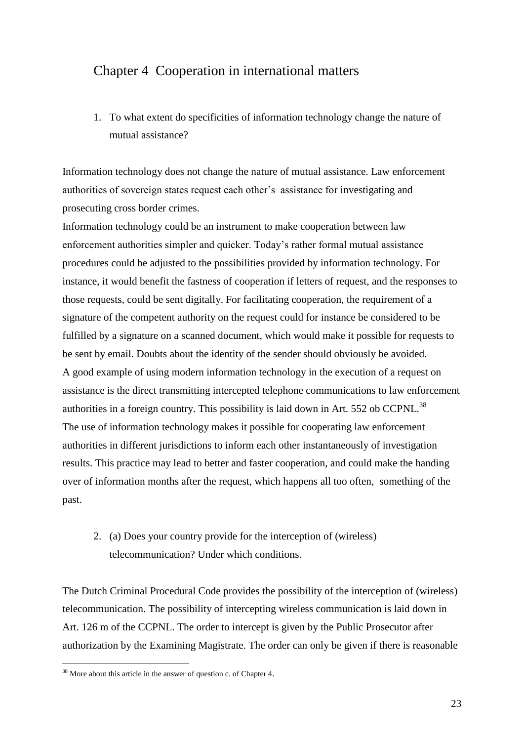## Chapter 4 Cooperation in international matters

1. To what extent do specificities of information technology change the nature of mutual assistance?

Information technology does not change the nature of mutual assistance. Law enforcement authorities of sovereign states request each other's assistance for investigating and prosecuting cross border crimes.

Information technology could be an instrument to make cooperation between law enforcement authorities simpler and quicker. Today's rather formal mutual assistance procedures could be adjusted to the possibilities provided by information technology. For instance, it would benefit the fastness of cooperation if letters of request, and the responses to those requests, could be sent digitally. For facilitating cooperation, the requirement of a signature of the competent authority on the request could for instance be considered to be fulfilled by a signature on a scanned document, which would make it possible for requests to be sent by email. Doubts about the identity of the sender should obviously be avoided. A good example of using modern information technology in the execution of a request on assistance is the direct transmitting intercepted telephone communications to law enforcement authorities in a foreign country. This possibility is laid down in Art. 552 ob CCPNL.<sup>38</sup> The use of information technology makes it possible for cooperating law enforcement authorities in different jurisdictions to inform each other instantaneously of investigation results. This practice may lead to better and faster cooperation, and could make the handing over of information months after the request, which happens all too often, something of the past.

## 2. (a) Does your country provide for the interception of (wireless) telecommunication? Under which conditions.

The Dutch Criminal Procedural Code provides the possibility of the interception of (wireless) telecommunication. The possibility of intercepting wireless communication is laid down in Art. 126 m of the CCPNL. The order to intercept is given by the Public Prosecutor after authorization by the Examining Magistrate. The order can only be given if there is reasonable

<sup>&</sup>lt;sup>38</sup> More about this article in the answer of question c. of Chapter 4.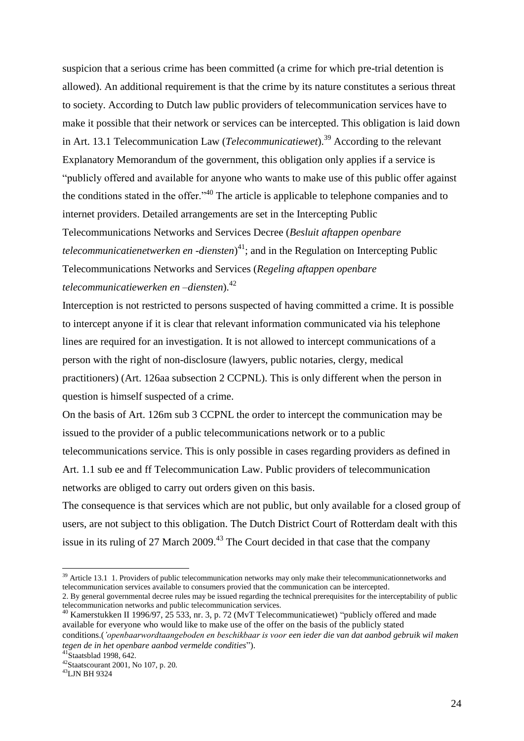suspicion that a serious crime has been committed (a crime for which pre-trial detention is allowed). An additional requirement is that the crime by its nature constitutes a serious threat to society. According to Dutch law public providers of telecommunication services have to make it possible that their network or services can be intercepted. This obligation is laid down in Art. 13.1 Telecommunication Law (*Telecommunicatiewet*). <sup>39</sup> According to the relevant Explanatory Memorandum of the government, this obligation only applies if a service is "publicly offered and available for anyone who wants to make use of this public offer against the conditions stated in the offer."<sup>40</sup> The article is applicable to telephone companies and to internet providers. Detailed arrangements are set in the Intercepting Public Telecommunications Networks and Services Decree (*Besluit aftappen openbare* 

*telecommunicatienetwerken en -diensten*) <sup>41</sup>; and in the Regulation on Intercepting Public Telecommunications Networks and Services (*Regeling aftappen openbare telecommunicatiewerken en –diensten*).<sup>42</sup>

Interception is not restricted to persons suspected of having committed a crime. It is possible to intercept anyone if it is clear that relevant information communicated via his telephone lines are required for an investigation. It is not allowed to intercept communications of a person with the right of non-disclosure (lawyers, public notaries, clergy, medical practitioners) (Art. 126aa subsection 2 CCPNL). This is only different when the person in question is himself suspected of a crime.

On the basis of Art. 126m sub 3 CCPNL the order to intercept the communication may be issued to the provider of a public telecommunications network or to a public telecommunications service. This is only possible in cases regarding providers as defined in Art. 1.1 sub ee and ff Telecommunication Law. Public providers of telecommunication networks are obliged to carry out orders given on this basis.

The consequence is that services which are not public, but only available for a closed group of users, are not subject to this obligation. The Dutch District Court of Rotterdam dealt with this issue in its ruling of 27 March 2009.<sup>43</sup> The Court decided in that case that the company

 $39$  Article 13.1 1. Providers of public telecommunication networks may only make their telecommunicationnetworks and telecommunication services available to consumers provied that the communication can be intercepted. 2. By general governmental decree rules may be issued regarding the technical prerequisites for the interceptability of public

telecommunication networks and public telecommunication services.  $40$  Kamerstukken II 1996/97, 25 533, nr. 3, p. 72 (MvT Telecommunicatiewet) "publicly offered and made

available for everyone who would like to make use of the offer on the basis of the publicly stated conditions.(*'openbaarwordtaangeboden en beschikbaar is voor een ieder die van dat aanbod gebruik wil maken tegen de in het openbare aanbod vermelde condities*").

 $41$ Staatsblad 1998, 642.

<sup>42</sup>Staatscourant 2001, No 107, p. 20.

<sup>43</sup>LJN BH 9324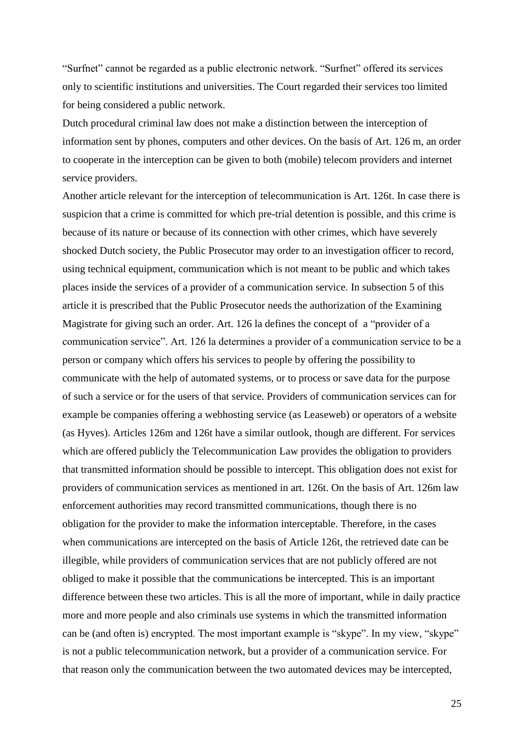"Surfnet" cannot be regarded as a public electronic network. "Surfnet" offered its services only to scientific institutions and universities. The Court regarded their services too limited for being considered a public network.

Dutch procedural criminal law does not make a distinction between the interception of information sent by phones, computers and other devices. On the basis of Art. 126 m, an order to cooperate in the interception can be given to both (mobile) telecom providers and internet service providers.

Another article relevant for the interception of telecommunication is Art. 126t. In case there is suspicion that a crime is committed for which pre-trial detention is possible, and this crime is because of its nature or because of its connection with other crimes, which have severely shocked Dutch society, the Public Prosecutor may order to an investigation officer to record, using technical equipment, communication which is not meant to be public and which takes places inside the services of a provider of a communication service. In subsection 5 of this article it is prescribed that the Public Prosecutor needs the authorization of the Examining Magistrate for giving such an order. Art. 126 la defines the concept of a "provider of a communication service". Art. 126 la determines a provider of a communication service to be a person or company which offers his services to people by offering the possibility to communicate with the help of automated systems, or to process or save data for the purpose of such a service or for the users of that service. Providers of communication services can for example be companies offering a webhosting service (as Leaseweb) or operators of a website (as Hyves). Articles 126m and 126t have a similar outlook, though are different. For services which are offered publicly the Telecommunication Law provides the obligation to providers that transmitted information should be possible to intercept. This obligation does not exist for providers of communication services as mentioned in art. 126t. On the basis of Art. 126m law enforcement authorities may record transmitted communications, though there is no obligation for the provider to make the information interceptable. Therefore, in the cases when communications are intercepted on the basis of Article 126t, the retrieved date can be illegible, while providers of communication services that are not publicly offered are not obliged to make it possible that the communications be intercepted. This is an important difference between these two articles. This is all the more of important, while in daily practice more and more people and also criminals use systems in which the transmitted information can be (and often is) encrypted. The most important example is "skype". In my view, "skype" is not a public telecommunication network, but a provider of a communication service. For that reason only the communication between the two automated devices may be intercepted,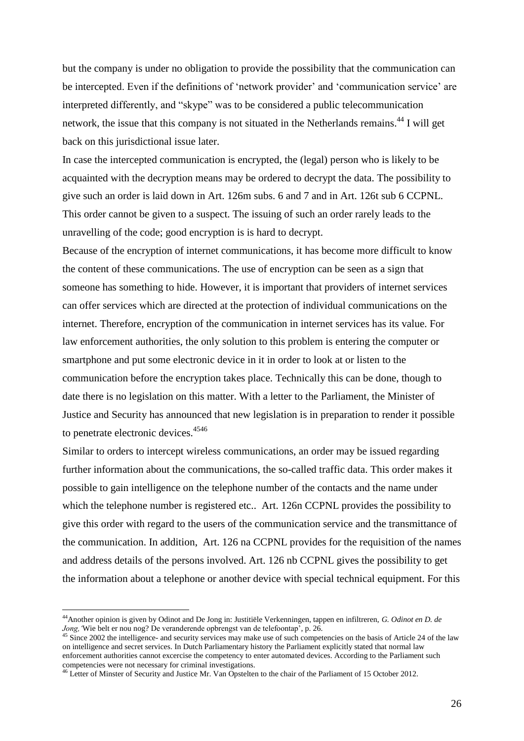but the company is under no obligation to provide the possibility that the communication can be intercepted. Even if the definitions of 'network provider' and 'communication service' are interpreted differently, and "skype" was to be considered a public telecommunication network, the issue that this company is not situated in the Netherlands remains.<sup>44</sup> I will get back on this jurisdictional issue later.

In case the intercepted communication is encrypted, the (legal) person who is likely to be acquainted with the decryption means may be ordered to decrypt the data. The possibility to give such an order is laid down in Art. 126m subs. 6 and 7 and in Art. 126t sub 6 CCPNL. This order cannot be given to a suspect. The issuing of such an order rarely leads to the unravelling of the code; good encryption is is hard to decrypt.

Because of the encryption of internet communications, it has become more difficult to know the content of these communications. The use of encryption can be seen as a sign that someone has something to hide. However, it is important that providers of internet services can offer services which are directed at the protection of individual communications on the internet. Therefore, encryption of the communication in internet services has its value. For law enforcement authorities, the only solution to this problem is entering the computer or smartphone and put some electronic device in it in order to look at or listen to the communication before the encryption takes place. Technically this can be done, though to date there is no legislation on this matter. With a letter to the Parliament, the Minister of Justice and Security has announced that new legislation is in preparation to render it possible to penetrate electronic devices.<sup>4546</sup>

Similar to orders to intercept wireless communications, an order may be issued regarding further information about the communications, the so-called traffic data. This order makes it possible to gain intelligence on the telephone number of the contacts and the name under which the telephone number is registered etc.. Art. 126n CCPNL provides the possibility to give this order with regard to the users of the communication service and the transmittance of the communication. In addition, Art. 126 na CCPNL provides for the requisition of the names and address details of the persons involved. Art. 126 nb CCPNL gives the possibility to get the information about a telephone or another device with special technical equipment. For this

<sup>44</sup>Another opinion is given by Odinot and De Jong in: Justitiële Verkenningen, tappen en infiltreren, *G. Odinot en D. de Jong,'*Wie belt er nou nog? De veranderende opbrengst van de telefoontap', p. 26.

 $45$  Since 2002 the intelligence- and security services may make use of such competencies on the basis of Article 24 of the law on intelligence and secret services. In Dutch Parliamentary history the Parliament explicitly stated that normal law enforcement authorities cannot excercise the competency to enter automated devices. According to the Parliament such competencies were not necessary for criminal investigations.

<sup>&</sup>lt;sup>46</sup> Letter of Minster of Security and Justice Mr. Van Opstelten to the chair of the Parliament of 15 October 2012.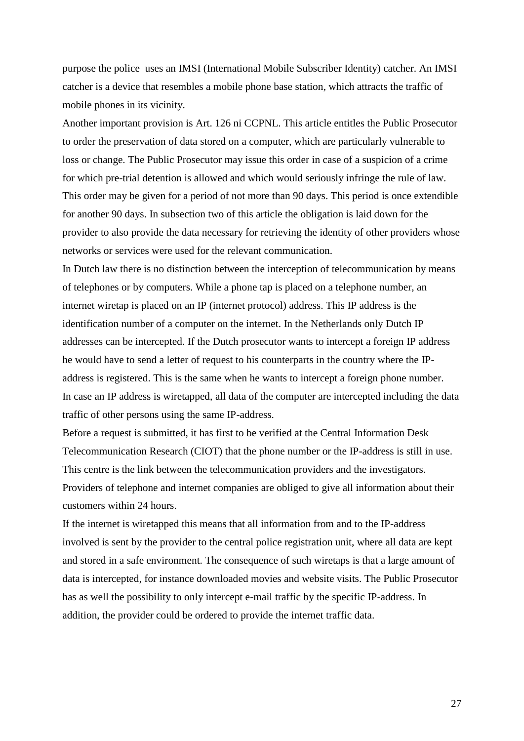purpose the police uses an IMSI (International Mobile Subscriber Identity) catcher. An IMSI catcher is a device that resembles a mobile phone base station, which attracts the traffic of mobile phones in its vicinity.

Another important provision is Art. 126 ni CCPNL. This article entitles the Public Prosecutor to order the preservation of data stored on a computer, which are particularly vulnerable to loss or change. The Public Prosecutor may issue this order in case of a suspicion of a crime for which pre-trial detention is allowed and which would seriously infringe the rule of law. This order may be given for a period of not more than 90 days. This period is once extendible for another 90 days. In subsection two of this article the obligation is laid down for the provider to also provide the data necessary for retrieving the identity of other providers whose networks or services were used for the relevant communication.

In Dutch law there is no distinction between the interception of telecommunication by means of telephones or by computers. While a phone tap is placed on a telephone number, an internet wiretap is placed on an IP (internet protocol) address. This IP address is the identification number of a computer on the internet. In the Netherlands only Dutch IP addresses can be intercepted. If the Dutch prosecutor wants to intercept a foreign IP address he would have to send a letter of request to his counterparts in the country where the IPaddress is registered. This is the same when he wants to intercept a foreign phone number. In case an IP address is wiretapped, all data of the computer are intercepted including the data traffic of other persons using the same IP-address.

Before a request is submitted, it has first to be verified at the Central Information Desk Telecommunication Research (CIOT) that the phone number or the IP-address is still in use. This centre is the link between the telecommunication providers and the investigators. Providers of telephone and internet companies are obliged to give all information about their customers within 24 hours.

If the internet is wiretapped this means that all information from and to the IP-address involved is sent by the provider to the central police registration unit, where all data are kept and stored in a safe environment. The consequence of such wiretaps is that a large amount of data is intercepted, for instance downloaded movies and website visits. The Public Prosecutor has as well the possibility to only intercept e-mail traffic by the specific IP-address. In addition, the provider could be ordered to provide the internet traffic data.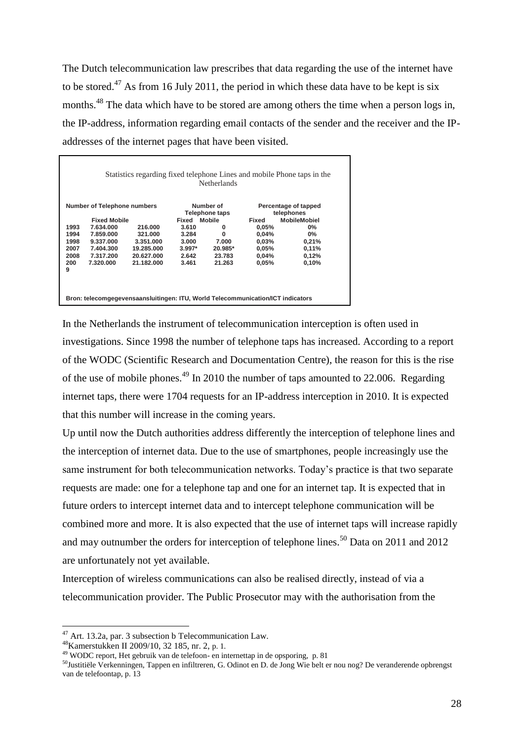The Dutch telecommunication law prescribes that data regarding the use of the internet have to be stored.<sup>47</sup> As from 16 July 2011, the period in which these data have to be kept is six months.<sup>48</sup> The data which have to be stored are among others the time when a person logs in, the IP-address, information regarding email contacts of the sender and the receiver and the IPaddresses of the internet pages that have been visited.

| Number of Telephone numbers |           | Number of<br>Telephone taps |                     |         | Percentage of tapped |                                   |
|-----------------------------|-----------|-----------------------------|---------------------|---------|----------------------|-----------------------------------|
| <b>Fixed Mobile</b>         |           |                             | <b>Fixed Mobile</b> |         | Fixed                | telephones<br><b>MobileMobiel</b> |
| 1993                        | 7.634.000 | 216,000                     | 3.610               | 0       | 0.05%                | $0\%$                             |
| 1994                        | 7.859.000 | 321.000                     | 3.284               | 0       | 0.04%                | $0\%$                             |
| 1998                        | 9.337.000 | 3.351.000                   | 3.000               | 7.000   | $0,03\%$             | 0,21%                             |
| 2007                        | 7.404.300 | 19.285.000                  | $3.997*$            | 20.985* | 0.05%                | 0,11%                             |
| 2008                        | 7.317.200 | 20.627.000                  | 2.642               | 23.783  | 0,04%                | 0,12%                             |
| 200                         | 7.320.000 | 21.182.000                  | 3.461               | 21.263  | 0.05%                | 0.10%                             |
| 9                           |           |                             |                     |         |                      |                                   |

In the Netherlands the instrument of telecommunication interception is often used in investigations. Since 1998 the number of telephone taps has increased. According to a report of the WODC (Scientific Research and Documentation Centre), the reason for this is the rise of the use of mobile phones.<sup>49</sup> In 2010 the number of taps amounted to 22.006. Regarding internet taps, there were 1704 requests for an IP-address interception in 2010. It is expected that this number will increase in the coming years.

Up until now the Dutch authorities address differently the interception of telephone lines and the interception of internet data. Due to the use of smartphones, people increasingly use the same instrument for both telecommunication networks. Today's practice is that two separate requests are made: one for a telephone tap and one for an internet tap. It is expected that in future orders to intercept internet data and to intercept telephone communication will be combined more and more. It is also expected that the use of internet taps will increase rapidly and may outnumber the orders for interception of telephone lines.<sup>50</sup> Data on 2011 and 2012 are unfortunately not yet available.

Interception of wireless communications can also be realised directly, instead of via a telecommunication provider. The Public Prosecutor may with the authorisation from the

 $47$  Art. 13.2a, par. 3 subsection b Telecommunication Law.

<sup>48</sup>Kamerstukken II 2009/10, 32 185, nr. 2, p. 1.

<sup>49</sup> WODC report, Het gebruik van de telefoon- en internettap in de opsporing, p. 81

 $^{50}$ Justitiële Verkenningen, Tappen en infiltreren, G. Odinot en D. de Jong Wie belt er nou nog? De veranderende opbrengst van de telefoontap, p. 13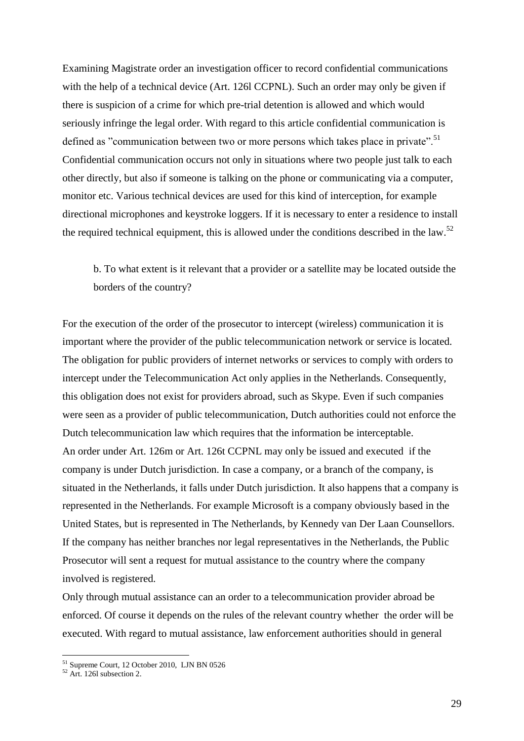Examining Magistrate order an investigation officer to record confidential communications with the help of a technical device (Art. 126l CCPNL). Such an order may only be given if there is suspicion of a crime for which pre-trial detention is allowed and which would seriously infringe the legal order. With regard to this article confidential communication is defined as "communication between two or more persons which takes place in private".<sup>51</sup> Confidential communication occurs not only in situations where two people just talk to each other directly, but also if someone is talking on the phone or communicating via a computer, monitor etc. Various technical devices are used for this kind of interception, for example directional microphones and keystroke loggers. If it is necessary to enter a residence to install the required technical equipment, this is allowed under the conditions described in the law.<sup>52</sup>

b. To what extent is it relevant that a provider or a satellite may be located outside the borders of the country?

For the execution of the order of the prosecutor to intercept (wireless) communication it is important where the provider of the public telecommunication network or service is located. The obligation for public providers of internet networks or services to comply with orders to intercept under the Telecommunication Act only applies in the Netherlands. Consequently, this obligation does not exist for providers abroad, such as Skype. Even if such companies were seen as a provider of public telecommunication, Dutch authorities could not enforce the Dutch telecommunication law which requires that the information be interceptable. An order under Art. 126m or Art. 126t CCPNL may only be issued and executed if the company is under Dutch jurisdiction. In case a company, or a branch of the company, is situated in the Netherlands, it falls under Dutch jurisdiction. It also happens that a company is represented in the Netherlands. For example Microsoft is a company obviously based in the United States, but is represented in The Netherlands, by Kennedy van Der Laan Counsellors. If the company has neither branches nor legal representatives in the Netherlands, the Public Prosecutor will sent a request for mutual assistance to the country where the company involved is registered.

Only through mutual assistance can an order to a telecommunication provider abroad be enforced. Of course it depends on the rules of the relevant country whether the order will be executed. With regard to mutual assistance, law enforcement authorities should in general

<sup>&</sup>lt;sup>51</sup> Supreme Court, 12 October 2010, LJN BN 0526

 $52$  Art. 126l subsection 2.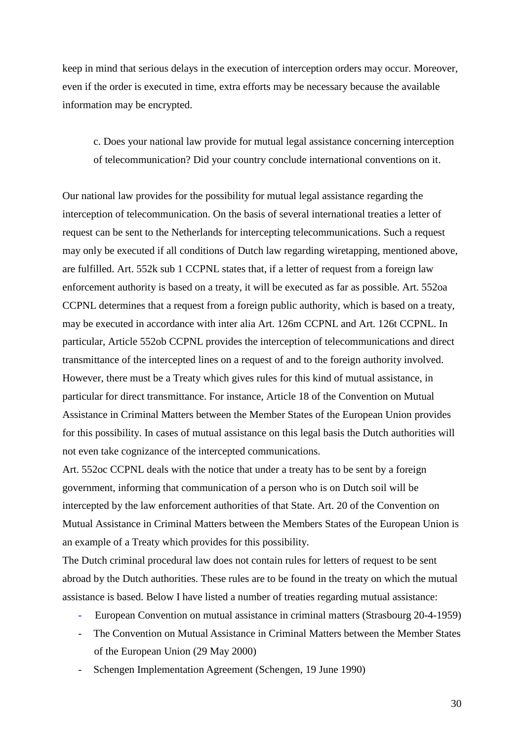keep in mind that serious delays in the execution of interception orders may occur. Moreover, even if the order is executed in time, extra efforts may be necessary because the available information may be encrypted.

c. Does your national law provide for mutual legal assistance concerning interception of telecommunication? Did your country conclude international conventions on it.

Our national law provides for the possibility for mutual legal assistance regarding the interception of telecommunication. On the basis of several international treaties a letter of request can be sent to the Netherlands for intercepting telecommunications. Such a request may only be executed if all conditions of Dutch law regarding wiretapping, mentioned above, are fulfilled. Art. 552k sub 1 CCPNL states that, if a letter of request from a foreign law enforcement authority is based on a treaty, it will be executed as far as possible. Art. 552oa CCPNL determines that a request from a foreign public authority, which is based on a treaty, may be executed in accordance with inter alia Art. 126m CCPNL and Art. 126t CCPNL. In particular, Article 552ob CCPNL provides the interception of telecommunications and direct transmittance of the intercepted lines on a request of and to the foreign authority involved. However, there must be a Treaty which gives rules for this kind of mutual assistance, in particular for direct transmittance. For instance, Article 18 of the Convention on Mutual Assistance in Criminal Matters between the Member States of the European Union provides for this possibility. In cases of mutual assistance on this legal basis the Dutch authorities will not even take cognizance of the intercepted communications.

Art. 552oc CCPNL deals with the notice that under a treaty has to be sent by a foreign government, informing that communication of a person who is on Dutch soil will be intercepted by the law enforcement authorities of that State. Art. 20 of the Convention on Mutual Assistance in Criminal Matters between the Members States of the European Union is an example of a Treaty which provides for this possibility.

The Dutch criminal procedural law does not contain rules for letters of request to be sent abroad by the Dutch authorities. These rules are to be found in the treaty on which the mutual assistance is based. Below I have listed a number of treaties regarding mutual assistance:

- European Convention on mutual assistance in criminal matters (Strasbourg 20-4-1959)
- The Convention on Mutual Assistance in Criminal Matters between the Member States of the European Union (29 May 2000)
- Schengen Implementation Agreement (Schengen, 19 June 1990)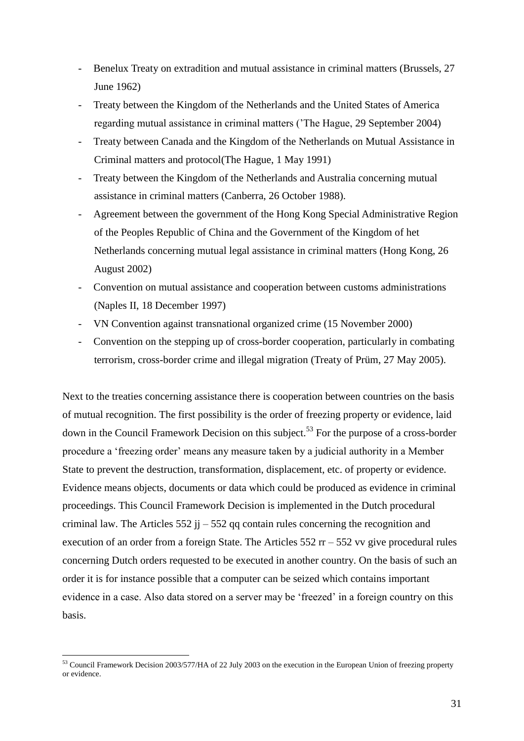- Benelux Treaty on extradition and mutual assistance in criminal matters (Brussels, 27 June 1962)
- Treaty between the Kingdom of the Netherlands and the United States of America regarding mutual assistance in criminal matters ('The Hague, 29 September 2004)
- Treaty between Canada and the Kingdom of the Netherlands on Mutual Assistance in Criminal matters and protocol(The Hague, 1 May 1991)
- Treaty between the Kingdom of the Netherlands and Australia concerning mutual assistance in criminal matters (Canberra, 26 October 1988).
- Agreement between the government of the Hong Kong Special Administrative Region of the Peoples Republic of China and the Government of the Kingdom of het Netherlands concerning mutual legal assistance in criminal matters (Hong Kong, 26 August 2002)
- Convention on mutual assistance and cooperation between customs administrations (Naples II, 18 December 1997)
- VN Convention against transnational organized crime (15 November 2000)
- Convention on the stepping up of cross-border cooperation, particularly in combating terrorism, cross-border crime and illegal migration (Treaty of Prüm, 27 May 2005).

Next to the treaties concerning assistance there is cooperation between countries on the basis of mutual recognition. The first possibility is the order of freezing property or evidence, laid down in the Council Framework Decision on this subject.<sup>53</sup> For the purpose of a cross-border procedure a 'freezing order' means any measure taken by a judicial authority in a Member State to prevent the destruction, transformation, displacement, etc. of property or evidence. Evidence means objects, documents or data which could be produced as evidence in criminal proceedings. This Council Framework Decision is implemented in the Dutch procedural criminal law. The Articles  $552$  jj  $-552$  qq contain rules concerning the recognition and execution of an order from a foreign State. The Articles 552 rr – 552 vv give procedural rules concerning Dutch orders requested to be executed in another country. On the basis of such an order it is for instance possible that a computer can be seized which contains important evidence in a case. Also data stored on a server may be 'freezed' in a foreign country on this basis.

<sup>&</sup>lt;sup>53</sup> Council Framework Decision 2003/577/HA of 22 July 2003 on the execution in the European Union of freezing property or evidence.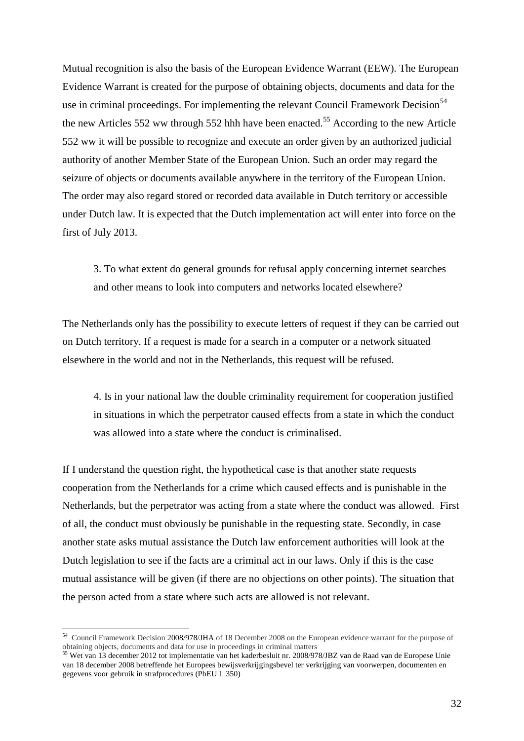Mutual recognition is also the basis of the European Evidence Warrant (EEW). The European Evidence Warrant is created for the purpose of obtaining objects, documents and data for the use in criminal proceedings. For implementing the relevant Council Framework Decision<sup>54</sup> the new Articles 552 ww through 552 hhh have been enacted.<sup>55</sup> According to the new Article 552 ww it will be possible to recognize and execute an order given by an authorized judicial authority of another Member State of the European Union. Such an order may regard the seizure of objects or documents available anywhere in the territory of the European Union. The order may also regard stored or recorded data available in Dutch territory or accessible under Dutch law. It is expected that the Dutch implementation act will enter into force on the first of July 2013.

3. To what extent do general grounds for refusal apply concerning internet searches and other means to look into computers and networks located elsewhere?

The Netherlands only has the possibility to execute letters of request if they can be carried out on Dutch territory. If a request is made for a search in a computer or a network situated elsewhere in the world and not in the Netherlands, this request will be refused.

4. Is in your national law the double criminality requirement for cooperation justified in situations in which the perpetrator caused effects from a state in which the conduct was allowed into a state where the conduct is criminalised.

If I understand the question right, the hypothetical case is that another state requests cooperation from the Netherlands for a crime which caused effects and is punishable in the Netherlands, but the perpetrator was acting from a state where the conduct was allowed. First of all, the conduct must obviously be punishable in the requesting state. Secondly, in case another state asks mutual assistance the Dutch law enforcement authorities will look at the Dutch legislation to see if the facts are a criminal act in our laws. Only if this is the case mutual assistance will be given (if there are no objections on other points). The situation that the person acted from a state where such acts are allowed is not relevant.

 54 Council Framework Decision [2008/978/JHA](http://eur-lex.europa.eu/LexUriServ/LexUriServ.do?uri=CELEX:32008F0978:EN:NOT) of 18 December 2008 on the European evidence warrant for the purpose of obtaining objects, documents and data for use in proceedings in criminal matters

<sup>&</sup>lt;sup>55</sup> Wet van 13 december 2012 tot implementatie van het kaderbesluit nr. 2008/978/JBZ van de Raad van de Europese Unie van 18 december 2008 betreffende het Europees bewijsverkrijgingsbevel ter verkrijging van voorwerpen, documenten en gegevens voor gebruik in strafprocedures (PbEU L 350)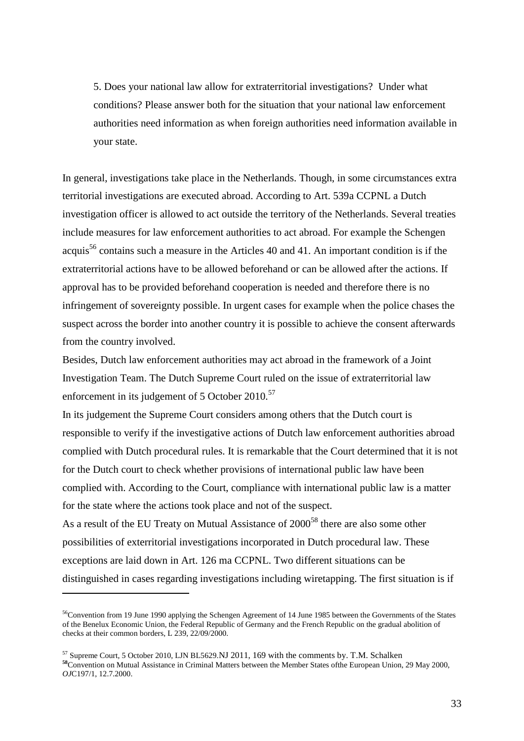5. Does your national law allow for extraterritorial investigations? Under what conditions? Please answer both for the situation that your national law enforcement authorities need information as when foreign authorities need information available in your state.

In general, investigations take place in the Netherlands. Though, in some circumstances extra territorial investigations are executed abroad. According to Art. 539a CCPNL a Dutch investigation officer is allowed to act outside the territory of the Netherlands. Several treaties include measures for law enforcement authorities to act abroad. For example the Schengen acquis<sup>56</sup> contains such a measure in the Articles 40 and 41. An important condition is if the extraterritorial actions have to be allowed beforehand or can be allowed after the actions. If approval has to be provided beforehand cooperation is needed and therefore there is no infringement of sovereignty possible. In urgent cases for example when the police chases the suspect across the border into another country it is possible to achieve the consent afterwards from the country involved.

Besides, Dutch law enforcement authorities may act abroad in the framework of a Joint Investigation Team. The Dutch Supreme Court ruled on the issue of extraterritorial law enforcement in its judgement of 5 October 2010.<sup>57</sup>

In its judgement the Supreme Court considers among others that the Dutch court is responsible to verify if the investigative actions of Dutch law enforcement authorities abroad complied with Dutch procedural rules. It is remarkable that the Court determined that it is not for the Dutch court to check whether provisions of international public law have been complied with. According to the Court, compliance with international public law is a matter for the state where the actions took place and not of the suspect.

As a result of the EU Treaty on Mutual Assistance of 2000<sup>58</sup> there are also some other possibilities of exterritorial investigations incorporated in Dutch procedural law. These exceptions are laid down in Art. 126 ma CCPNL. Two different situations can be distinguished in cases regarding investigations including wiretapping. The first situation is if

<sup>&</sup>lt;sup>56</sup>Convention from 19 June 1990 applying the Schengen Agreement of 14 June 1985 between the Governments of the States of the Benelux Economic Union, the Federal Republic of Germany and the French Republic on the gradual abolition of checks at their common borders, L 239, 22/09/2000.

<sup>57</sup> Supreme Court, 5 October 2010, LJN BL5629.NJ 2011, 169 with the comments by. T.M. Schalken **<sup>58</sup>**Convention on Mutual Assistance in Criminal Matters between the Member States ofthe European Union, 29 May 2000, *OJ*C197/1, 12.7.2000.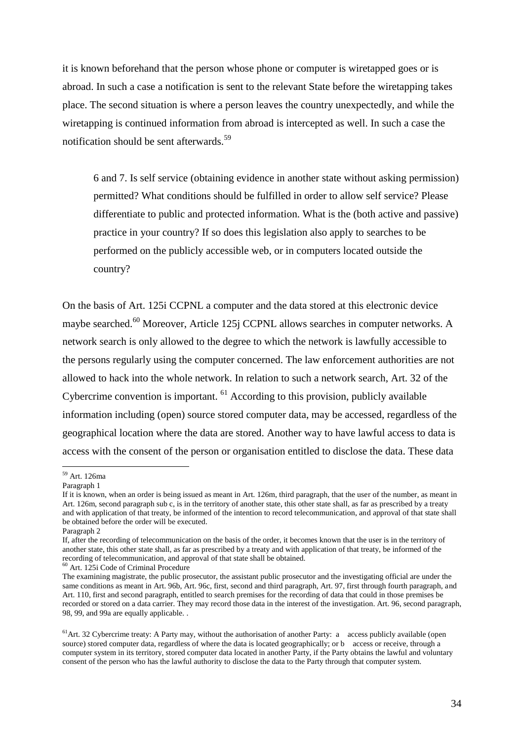it is known beforehand that the person whose phone or computer is wiretapped goes or is abroad. In such a case a notification is sent to the relevant State before the wiretapping takes place. The second situation is where a person leaves the country unexpectedly, and while the wiretapping is continued information from abroad is intercepted as well. In such a case the notification should be sent afterwards.<sup>59</sup>

6 and 7. Is self service (obtaining evidence in another state without asking permission) permitted? What conditions should be fulfilled in order to allow self service? Please differentiate to public and protected information. What is the (both active and passive) practice in your country? If so does this legislation also apply to searches to be performed on the publicly accessible web, or in computers located outside the country?

On the basis of Art. 125i CCPNL a computer and the data stored at this electronic device maybe searched.<sup>60</sup> Moreover, Article 125j CCPNL allows searches in computer networks. A network search is only allowed to the degree to which the network is lawfully accessible to the persons regularly using the computer concerned. The law enforcement authorities are not allowed to hack into the whole network. In relation to such a network search, Art. 32 of the Cybercrime convention is important. <sup>61</sup> According to this provision, publicly available information including (open) source stored computer data, may be accessed, regardless of the geographical location where the data are stored. Another way to have lawful access to data is access with the consent of the person or organisation entitled to disclose the data. These data

<sup>59</sup> Art. 126ma

Paragraph 1

If it is known, when an order is being issued as meant in Art. 126m, third paragraph, that the user of the number, as meant in Art. 126m, second paragraph sub c, is in the territory of another state, this other state shall, as far as prescribed by a treaty and with application of that treaty, be informed of the intention to record telecommunication, and approval of that state shall be obtained before the order will be executed.

Paragraph 2

If, after the recording of telecommunication on the basis of the order, it becomes known that the user is in the territory of another state, this other state shall, as far as prescribed by a treaty and with application of that treaty, be informed of the recording of telecommunication, and approval of that state shall be obtained.

 $60$  Art. 125i Code of Criminal Procedure

The examining magistrate, the public prosecutor, the assistant public prosecutor and the investigating official are under the same conditions as meant in Art. 96b, Art. 96c, first, second and third paragraph, Art. 97, first through fourth paragraph, and Art. 110, first and second paragraph, entitled to search premises for the recording of data that could in those premises be recorded or stored on a data carrier. They may record those data in the interest of the investigation. Art. 96, second paragraph, 98, 99, and 99a are equally applicable. .

 $61$ Art. 32 Cybercrime treaty: A Party may, without the authorisation of another Party: a access publicly available (open source) stored computer data, regardless of where the data is located geographically; or b access or receive, through a computer system in its territory, stored computer data located in another Party, if the Party obtains the lawful and voluntary consent of the person who has the lawful authority to disclose the data to the Party through that computer system.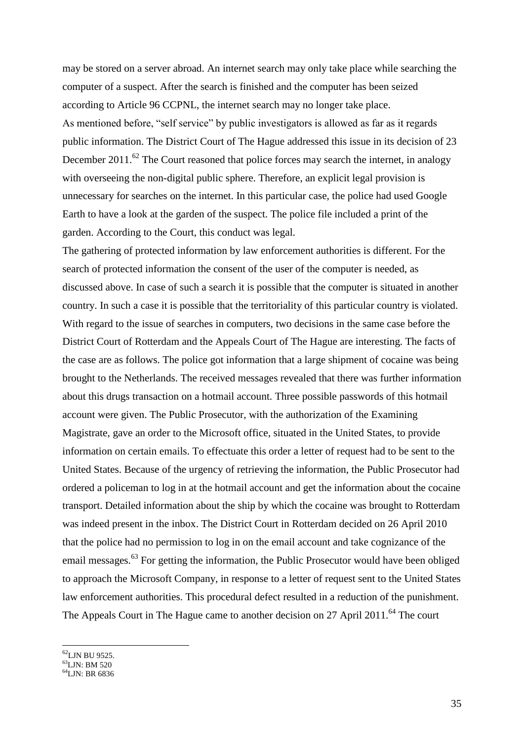may be stored on a server abroad. An internet search may only take place while searching the computer of a suspect. After the search is finished and the computer has been seized according to Article 96 CCPNL, the internet search may no longer take place. As mentioned before, "self service" by public investigators is allowed as far as it regards public information. The District Court of The Hague addressed this issue in its decision of 23 December 2011.<sup>62</sup> The Court reasoned that police forces may search the internet, in analogy with overseeing the non-digital public sphere. Therefore, an explicit legal provision is unnecessary for searches on the internet. In this particular case, the police had used Google Earth to have a look at the garden of the suspect. The police file included a print of the garden. According to the Court, this conduct was legal.

The gathering of protected information by law enforcement authorities is different. For the search of protected information the consent of the user of the computer is needed, as discussed above. In case of such a search it is possible that the computer is situated in another country. In such a case it is possible that the territoriality of this particular country is violated. With regard to the issue of searches in computers, two decisions in the same case before the District Court of Rotterdam and the Appeals Court of The Hague are interesting. The facts of the case are as follows. The police got information that a large shipment of cocaine was being brought to the Netherlands. The received messages revealed that there was further information about this drugs transaction on a hotmail account. Three possible passwords of this hotmail account were given. The Public Prosecutor, with the authorization of the Examining Magistrate, gave an order to the Microsoft office, situated in the United States, to provide information on certain emails. To effectuate this order a letter of request had to be sent to the United States. Because of the urgency of retrieving the information, the Public Prosecutor had ordered a policeman to log in at the hotmail account and get the information about the cocaine transport. Detailed information about the ship by which the cocaine was brought to Rotterdam was indeed present in the inbox. The District Court in Rotterdam decided on 26 April 2010 that the police had no permission to log in on the email account and take cognizance of the email messages.<sup>63</sup> For getting the information, the Public Prosecutor would have been obliged to approach the Microsoft Company, in response to a letter of request sent to the United States law enforcement authorities. This procedural defect resulted in a reduction of the punishment. The Appeals Court in The Hague came to another decision on 27 April 2011.<sup>64</sup> The court

 $^{62}$ LJN BU 9525.

<sup>63</sup>LJN: BM 520

<sup>64</sup>LJN: BR 6836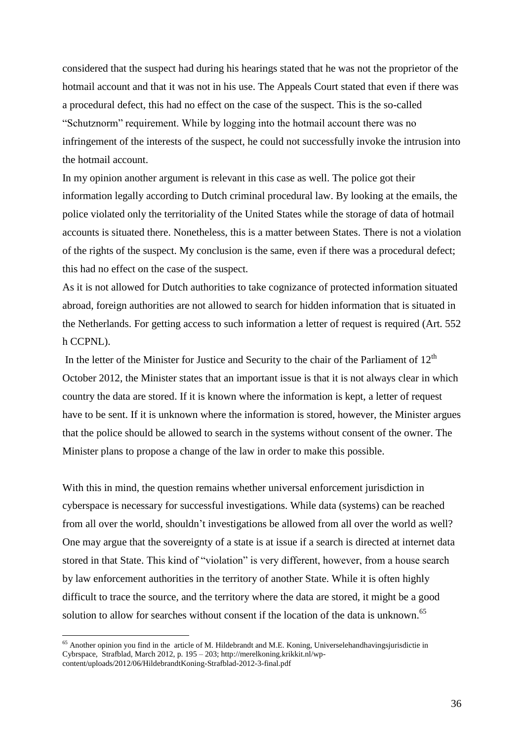considered that the suspect had during his hearings stated that he was not the proprietor of the hotmail account and that it was not in his use. The Appeals Court stated that even if there was a procedural defect, this had no effect on the case of the suspect. This is the so-called "Schutznorm" requirement. While by logging into the hotmail account there was no infringement of the interests of the suspect, he could not successfully invoke the intrusion into the hotmail account.

In my opinion another argument is relevant in this case as well. The police got their information legally according to Dutch criminal procedural law. By looking at the emails, the police violated only the territoriality of the United States while the storage of data of hotmail accounts is situated there. Nonetheless, this is a matter between States. There is not a violation of the rights of the suspect. My conclusion is the same, even if there was a procedural defect; this had no effect on the case of the suspect.

As it is not allowed for Dutch authorities to take cognizance of protected information situated abroad, foreign authorities are not allowed to search for hidden information that is situated in the Netherlands. For getting access to such information a letter of request is required (Art. 552 h CCPNL).

In the letter of the Minister for Justice and Security to the chair of the Parliament of  $12<sup>th</sup>$ October 2012, the Minister states that an important issue is that it is not always clear in which country the data are stored. If it is known where the information is kept, a letter of request have to be sent. If it is unknown where the information is stored, however, the Minister argues that the police should be allowed to search in the systems without consent of the owner. The Minister plans to propose a change of the law in order to make this possible.

With this in mind, the question remains whether universal enforcement jurisdiction in cyberspace is necessary for successful investigations. While data (systems) can be reached from all over the world, shouldn't investigations be allowed from all over the world as well? One may argue that the sovereignty of a state is at issue if a search is directed at internet data stored in that State. This kind of "violation" is very different, however, from a house search by law enforcement authorities in the territory of another State. While it is often highly difficult to trace the source, and the territory where the data are stored, it might be a good solution to allow for searches without consent if the location of the data is unknown.<sup>65</sup>

 $<sup>65</sup>$  Another opinion you find in the article of M. Hildebrandt and M.E. Koning, Universelehandhaving sjurisdictie in</sup> Cybrspace, Strafblad, March 2012, p. 195 – 203; [http://merelkoning.krikkit.nl/wp](http://merelkoning.krikkit.nl/wp-content/uploads/2012/06/HildebrandtKoning-Strafblad-2012-3-final.pdf)[content/uploads/2012/06/HildebrandtKoning-Strafblad-2012-3-final.pdf](http://merelkoning.krikkit.nl/wp-content/uploads/2012/06/HildebrandtKoning-Strafblad-2012-3-final.pdf)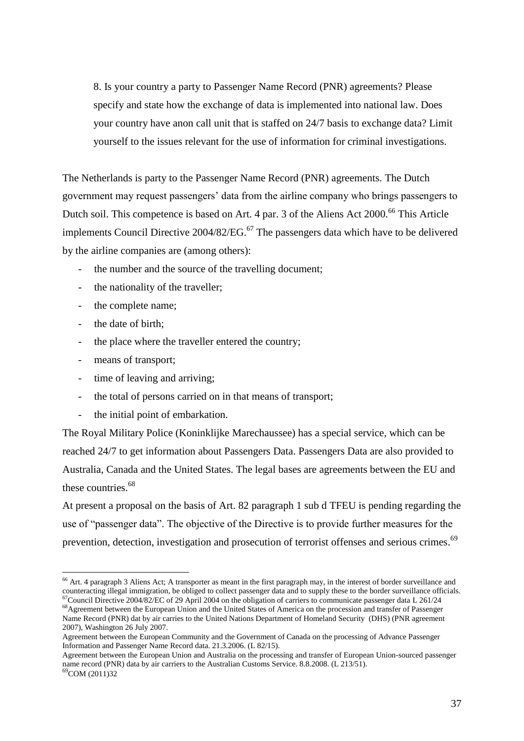8. Is your country a party to Passenger Name Record (PNR) agreements? Please specify and state how the exchange of data is implemented into national law. Does your country have anon call unit that is staffed on 24/7 basis to exchange data? Limit yourself to the issues relevant for the use of information for criminal investigations.

The Netherlands is party to the Passenger Name Record (PNR) agreements. The Dutch government may request passengers' data from the airline company who brings passengers to Dutch soil. This competence is based on Art. 4 par. 3 of the Aliens Act 2000.<sup>66</sup> This Article implements Council Directive  $2004/82/EG$ .<sup>67</sup> The passengers data which have to be delivered by the airline companies are (among others):

- the number and the source of the travelling document;
- the nationality of the traveller;
- the complete name;
- the date of birth;
- the place where the traveller entered the country;
- means of transport;
- time of leaving and arriving;
- the total of persons carried on in that means of transport;
- the initial point of embarkation.

The Royal Military Police (Koninklijke Marechaussee) has a special service, which can be reached 24/7 to get information about Passengers Data. Passengers Data are also provided to Australia, Canada and the United States. The legal bases are agreements between the EU and these countries.<sup>68</sup>

At present a proposal on the basis of Art. 82 paragraph 1 sub d TFEU is pending regarding the use of "passenger data". The objective of the Directive is to provide further measures for the prevention, detection, investigation and prosecution of terrorist offenses and serious crimes.<sup>69</sup>

<sup>68</sup>Agreement between the European Union and the United States of America on the procession and transfer of Passenger Name Record (PNR) dat by air carries to the United Nations Department of Homeland Security (DHS) (PNR agreement 2007), Washington 26 July 2007.

Agreement between the European Union and Australia on the processing and transfer of European Union-sourced passenger name record (PNR) data by air carriers to the Australian Customs Service. 8.8.2008. (L 213/51).

<sup>69</sup>COM (2011)32

<sup>&</sup>lt;sup>66</sup> Art. 4 paragraph 3 Aliens Act; A transporter as meant in the first paragraph may, in the interest of border surveillance and counteracting illegal immigration, be obliged to collect passenger data and to supply these to the border surveillance officials.  $^{67}$ Council Directive 2004/82/EC of 29 April 2004 on the obligation of carriers to communicate passenger data L 261/24

Agreement between the European Community and the Government of Canada on the processing of Advance Passenger Information and Passenger Name Record data. 21.3.2006. (L 82/15).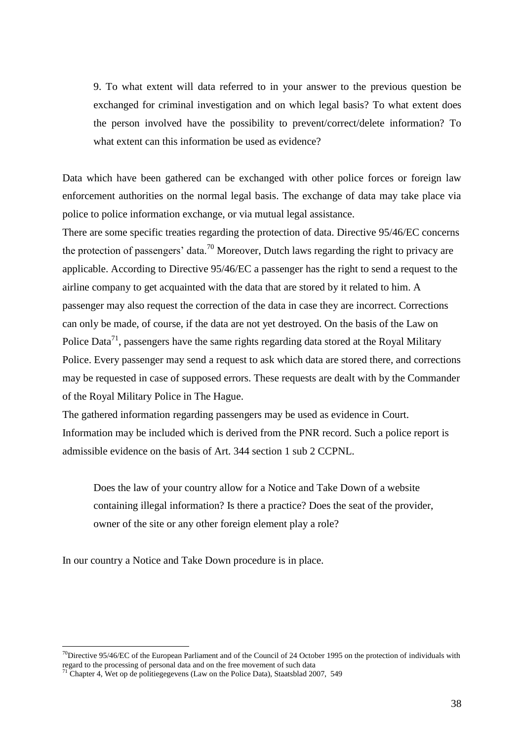9. To what extent will data referred to in your answer to the previous question be exchanged for criminal investigation and on which legal basis? To what extent does the person involved have the possibility to prevent/correct/delete information? To what extent can this information be used as evidence?

Data which have been gathered can be exchanged with other police forces or foreign law enforcement authorities on the normal legal basis. The exchange of data may take place via police to police information exchange, or via mutual legal assistance.

There are some specific treaties regarding the protection of data. Directive 95/46/EC concerns the protection of passengers' data.<sup>70</sup> Moreover, Dutch laws regarding the right to privacy are applicable. According to Directive 95/46/EC a passenger has the right to send a request to the airline company to get acquainted with the data that are stored by it related to him. A passenger may also request the correction of the data in case they are incorrect. Corrections can only be made, of course, if the data are not yet destroyed. On the basis of the Law on Police Data<sup>71</sup>, passengers have the same rights regarding data stored at the Royal Military Police. Every passenger may send a request to ask which data are stored there, and corrections may be requested in case of supposed errors. These requests are dealt with by the Commander of the Royal Military Police in The Hague.

The gathered information regarding passengers may be used as evidence in Court. Information may be included which is derived from the PNR record. Such a police report is admissible evidence on the basis of Art. 344 section 1 sub 2 CCPNL.

Does the law of your country allow for a Notice and Take Down of a website containing illegal information? Is there a practice? Does the seat of the provider, owner of the site or any other foreign element play a role?

In our country a Notice and Take Down procedure is in place.

<sup>&</sup>lt;sup>70</sup>Directive 95/46/EC of the European Parliament and of the Council of 24 October 1995 on the protection of individuals with regard to the processing of personal data and on the free movement of such data

<sup>&</sup>lt;sup>71</sup> Chapter 4, Wet op de politiegegevens (Law on the Police Data), Staatsblad 2007, 549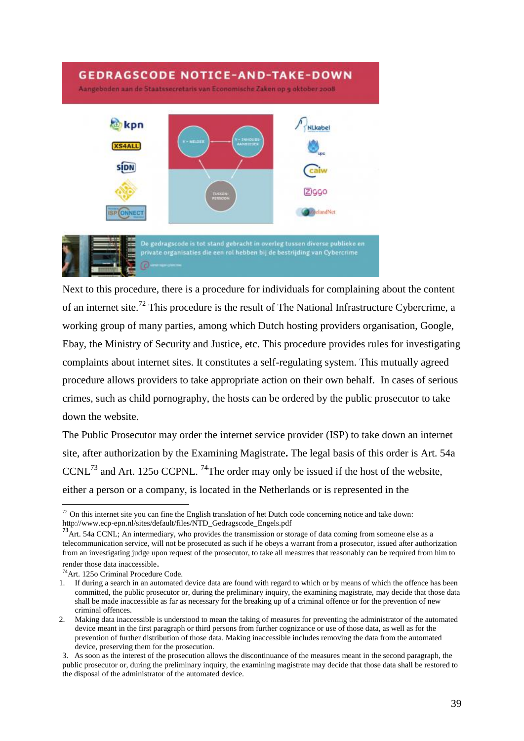# **GEDRAGSCODE NOTICE-AND-TAKE-DOWN** Aangeboden aan de Staatssecretaris van Economische Zaken op 5 oktober 2008 kpn Ni kahe **S4ALI SÍDN** 2iGGC **ZeelandNet** De gedragscode is tot stand gebracht in overleg tussen diverse publieke en<br>private organisaties die een rol hebben bij de bestrijding van Cybercrime

Next to this procedure, there is a procedure for individuals for complaining about the content of an internet site.<sup>72</sup> This procedure is the result of The National Infrastructure Cybercrime, a working group of many parties, among which Dutch hosting providers organisation, Google, Ebay, the Ministry of Security and Justice, etc. This procedure provides rules for investigating complaints about internet sites. It constitutes a self-regulating system. This mutually agreed procedure allows providers to take appropriate action on their own behalf. In cases of serious crimes, such as child pornography, the hosts can be ordered by the public prosecutor to take down the website.

The Public Prosecutor may order the internet service provider (ISP) to take down an internet site, after authorization by the Examining Magistrate**.** The legal basis of this order is Art. 54a CCNL $^{73}$  and Art. 1250 CCPNL. <sup>74</sup>The order may only be issued if the host of the website, either a person or a company, is located in the Netherlands or is represented in the

<sup>74</sup>Art. 125o Criminal Procedure Code.

 $\overline{a}$  $72$  On this internet site you can fine the English translation of het Dutch code concerning notice and take down: http://www.ecp-epn.nl/sites/default/files/NTD\_Gedragscode\_Engels.pdf

**<sup>73</sup>**Art. 54a CCNL; An intermediary, who provides the transmission or storage of data coming from someone else as a telecommunication service, will not be prosecuted as such if he obeys a warrant from a prosecutor, issued after authorization from an investigating judge upon request of the prosecutor, to take all measures that reasonably can be required from him to render those data inaccessible.

<sup>1.</sup> If during a search in an automated device data are found with regard to which or by means of which the offence has been committed, the public prosecutor or, during the preliminary inquiry, the examining magistrate, may decide that those data shall be made inaccessible as far as necessary for the breaking up of a criminal offence or for the prevention of new criminal offences.

<sup>2.</sup> Making data inaccessible is understood to mean the taking of measures for preventing the administrator of the automated device meant in the first paragraph or third persons from further cognizance or use of those data, as well as for the prevention of further distribution of those data. Making inaccessible includes removing the data from the automated device, preserving them for the prosecution.

<sup>3.</sup> As soon as the interest of the prosecution allows the discontinuance of the measures meant in the second paragraph, the public prosecutor or, during the preliminary inquiry, the examining magistrate may decide that those data shall be restored to the disposal of the administrator of the automated device.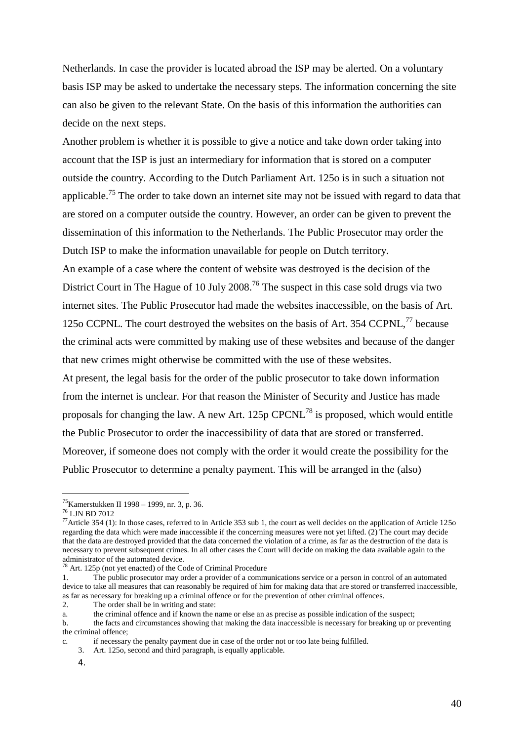Netherlands. In case the provider is located abroad the ISP may be alerted. On a voluntary basis ISP may be asked to undertake the necessary steps. The information concerning the site can also be given to the relevant State. On the basis of this information the authorities can decide on the next steps.

Another problem is whether it is possible to give a notice and take down order taking into account that the ISP is just an intermediary for information that is stored on a computer outside the country. According to the Dutch Parliament Art. 125o is in such a situation not applicable.<sup>75</sup> The order to take down an internet site may not be issued with regard to data that are stored on a computer outside the country. However, an order can be given to prevent the dissemination of this information to the Netherlands. The Public Prosecutor may order the Dutch ISP to make the information unavailable for people on Dutch territory.

An example of a case where the content of website was destroyed is the decision of the District Court in The Hague of 10 July 2008.<sup>76</sup> The suspect in this case sold drugs via two internet sites. The Public Prosecutor had made the websites inaccessible, on the basis of Art. 125o CCPNL. The court destroyed the websites on the basis of Art. 354 CCPNL.<sup>77</sup> because the criminal acts were committed by making use of these websites and because of the danger that new crimes might otherwise be committed with the use of these websites.

At present, the legal basis for the order of the public prosecutor to take down information from the internet is unclear. For that reason the Minister of Security and Justice has made proposals for changing the law. A new Art. 125p CPCNL<sup>78</sup> is proposed, which would entitle the Public Prosecutor to order the inaccessibility of data that are stored or transferred. Moreover, if someone does not comply with the order it would create the possibility for the Public Prosecutor to determine a penalty payment. This will be arranged in the (also)

 $\overline{a}$ 

2. The order shall be in writing and state:

<sup>75</sup>Kamerstukken II 1998 – 1999, nr. 3, p. 36.

<sup>76</sup> LJN BD 7012

<sup>&</sup>lt;sup>77</sup>Article 354 (1): In those cases, referred to in Article 353 sub 1, the court as well decides on the application of Article 1250 regarding the data which were made inaccessible if the concerning measures were not yet lifted. (2) The court may decide that the data are destroyed provided that the data concerned the violation of a crime, as far as the destruction of the data is necessary to prevent subsequent crimes. In all other cases the Court will decide on making the data available again to the administrator of the automated device.

 $78$  Art. 125p (not yet enacted) of the Code of Criminal Procedure

<sup>1.</sup> The public prosecutor may order a provider of a communications service or a person in control of an automated device to take all measures that can reasonably be required of him for making data that are stored or transferred inaccessible, as far as necessary for breaking up a criminal offence or for the prevention of other criminal offences.

a. the criminal offence and if known the name or else an as precise as possible indication of the suspect;

b. the facts and circumstances showing that making the data inaccessible is necessary for breaking up or preventing the criminal offence;

c. if necessary the penalty payment due in case of the order not or too late being fulfilled.

<sup>3.</sup> Art. 125o, second and third paragraph, is equally applicable.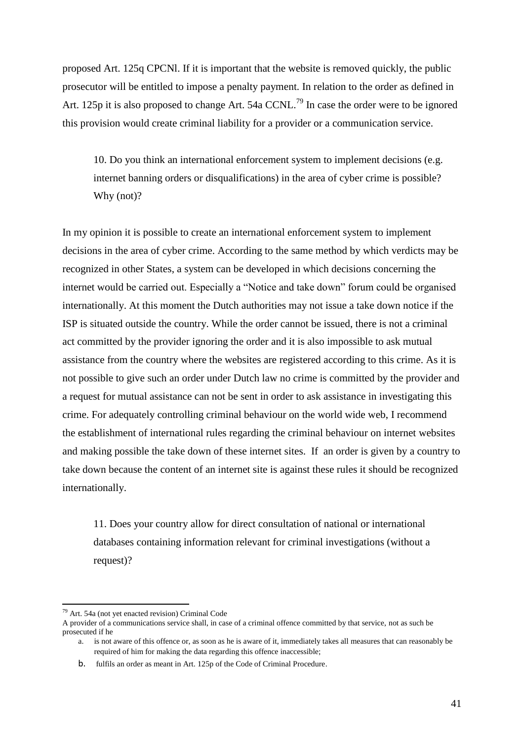proposed Art. 125q CPCNl. If it is important that the website is removed quickly, the public prosecutor will be entitled to impose a penalty payment. In relation to the order as defined in Art. 125p it is also proposed to change Art. 54a CCNL.<sup>79</sup> In case the order were to be ignored this provision would create criminal liability for a provider or a communication service.

10. Do you think an international enforcement system to implement decisions (e.g. internet banning orders or disqualifications) in the area of cyber crime is possible? Why (not)?

In my opinion it is possible to create an international enforcement system to implement decisions in the area of cyber crime. According to the same method by which verdicts may be recognized in other States, a system can be developed in which decisions concerning the internet would be carried out. Especially a "Notice and take down" forum could be organised internationally. At this moment the Dutch authorities may not issue a take down notice if the ISP is situated outside the country. While the order cannot be issued, there is not a criminal act committed by the provider ignoring the order and it is also impossible to ask mutual assistance from the country where the websites are registered according to this crime. As it is not possible to give such an order under Dutch law no crime is committed by the provider and a request for mutual assistance can not be sent in order to ask assistance in investigating this crime. For adequately controlling criminal behaviour on the world wide web, I recommend the establishment of international rules regarding the criminal behaviour on internet websites and making possible the take down of these internet sites. If an order is given by a country to take down because the content of an internet site is against these rules it should be recognized internationally.

11. Does your country allow for direct consultation of national or international databases containing information relevant for criminal investigations (without a request)?

 $79$  Art. 54a (not vet enacted revision) Criminal Code

A provider of a communications service shall, in case of a criminal offence committed by that service, not as such be prosecuted if he

a. is not aware of this offence or, as soon as he is aware of it, immediately takes all measures that can reasonably be required of him for making the data regarding this offence inaccessible;

b. fulfils an order as meant in Art. 125p of the Code of Criminal Procedure.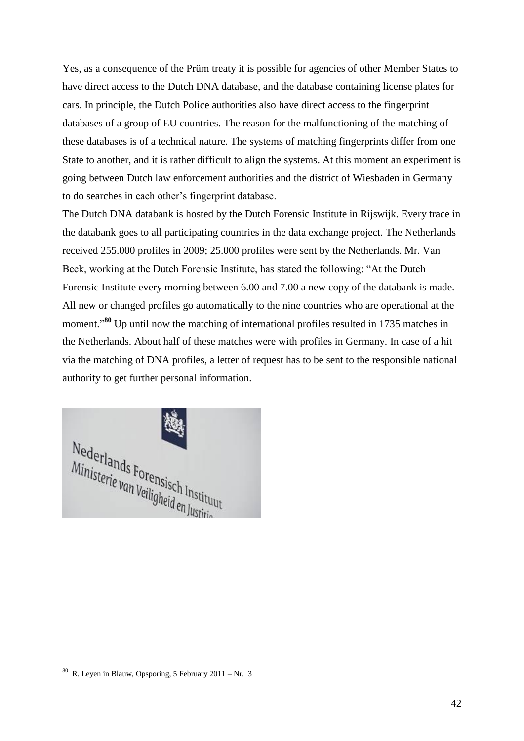Yes, as a consequence of the Prüm treaty it is possible for agencies of other Member States to have direct access to the Dutch DNA database, and the database containing license plates for cars. In principle, the Dutch Police authorities also have direct access to the fingerprint databases of a group of EU countries. The reason for the malfunctioning of the matching of these databases is of a technical nature. The systems of matching fingerprints differ from one State to another, and it is rather difficult to align the systems. At this moment an experiment is going between Dutch law enforcement authorities and the district of Wiesbaden in Germany to do searches in each other's fingerprint database.

The Dutch DNA databank is hosted by the Dutch Forensic Institute in Rijswijk. Every trace in the databank goes to all participating countries in the data exchange project. The Netherlands received 255.000 profiles in 2009; 25.000 profiles were sent by the Netherlands. Mr. Van Beek, working at the Dutch Forensic Institute, has stated the following: "At the Dutch Forensic Institute every morning between 6.00 and 7.00 a new copy of the databank is made. All new or changed profiles go automatically to the nine countries who are operational at the moment."<sup>80</sup> Up until now the matching of international profiles resulted in 1735 matches in the Netherlands. About half of these matches were with profiles in Germany. In case of a hit via the matching of DNA profiles, a letter of request has to be sent to the responsible national authority to get further personal information.



 $80$  R. Leyen in Blauw, Opsporing, 5 February 2011 – Nr. 3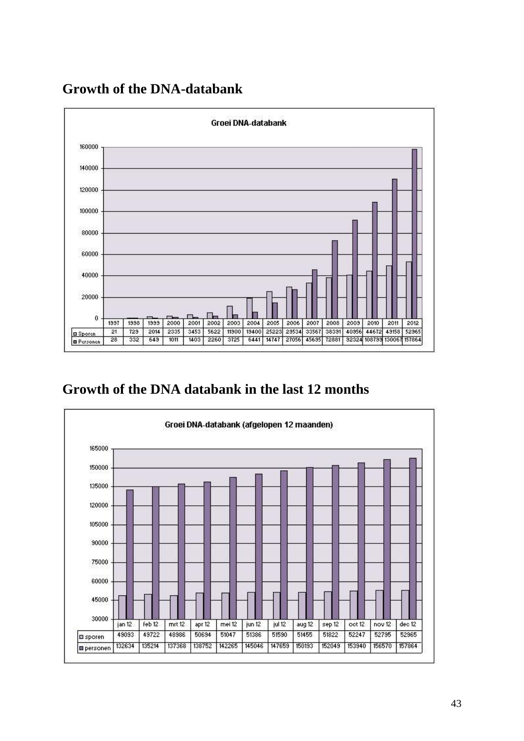

# **Growth of the DNA-databank**

# **Growth of the DNA databank in the last 12 months**

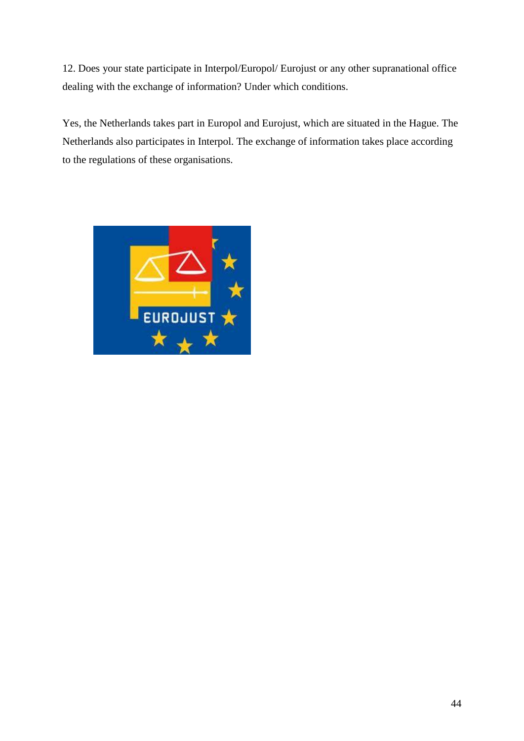12. Does your state participate in Interpol/Europol/ Eurojust or any other supranational office dealing with the exchange of information? Under which conditions.

Yes, the Netherlands takes part in Europol and Eurojust, which are situated in the Hague. The Netherlands also participates in Interpol. The exchange of information takes place according to the regulations of these organisations.

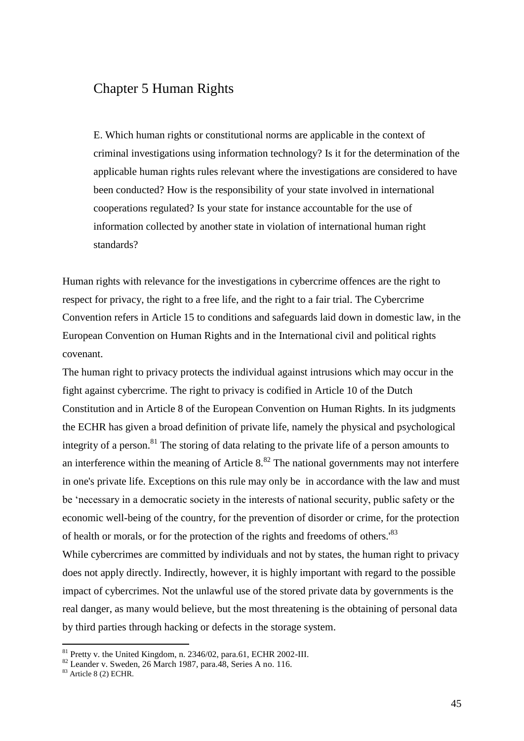## Chapter 5 Human Rights

E. Which human rights or constitutional norms are applicable in the context of criminal investigations using information technology? Is it for the determination of the applicable human rights rules relevant where the investigations are considered to have been conducted? How is the responsibility of your state involved in international cooperations regulated? Is your state for instance accountable for the use of information collected by another state in violation of international human right standards?

Human rights with relevance for the investigations in cybercrime offences are the right to respect for privacy, the right to a free life, and the right to a fair trial. The Cybercrime Convention refers in Article 15 to conditions and safeguards laid down in domestic law, in the European Convention on Human Rights and in the International civil and political rights covenant.

The human right to privacy protects the individual against intrusions which may occur in the fight against cybercrime. The right to privacy is codified in Article 10 of the Dutch Constitution and in Article 8 of the European Convention on Human Rights. In its judgments the ECHR has given a broad definition of private life, namely the physical and psychological integrity of a person.<sup>81</sup> The storing of data relating to the private life of a person amounts to an interference within the meaning of Article  $8.^{82}$  The national governments may not interfere in one's private life. Exceptions on this rule may only be in accordance with the law and must be 'necessary in a democratic society in the interests of national security, public safety or the economic well-being of the country, for the prevention of disorder or crime, for the protection of health or morals, or for the protection of the rights and freedoms of others.'<sup>83</sup> While cybercrimes are committed by individuals and not by states, the human right to privacy does not apply directly. Indirectly, however, it is highly important with regard to the possible impact of cybercrimes. Not the unlawful use of the stored private data by governments is the real danger, as many would believe, but the most threatening is the obtaining of personal data by third parties through hacking or defects in the storage system.

 $81$  Pretty v. the United Kingdom, n. 2346/02, para.61, ECHR 2002-III.

<sup>82</sup> Leander v. Sweden, 26 March 1987, para.48, Series A no. 116.

 $83$  Article 8 (2) ECHR.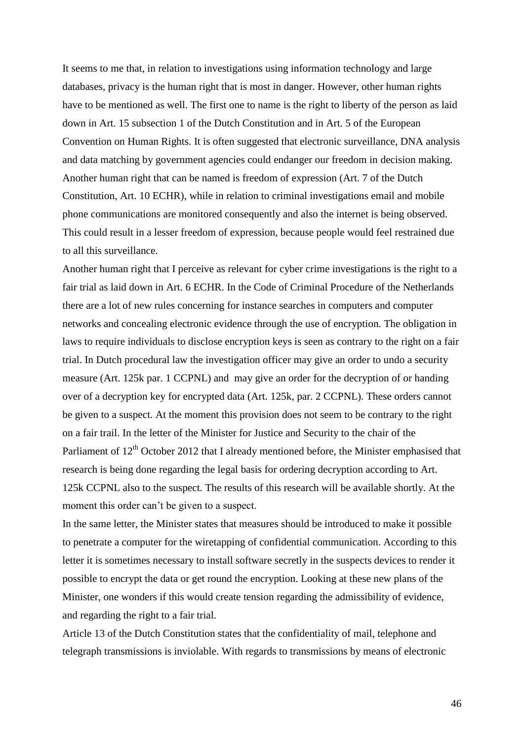It seems to me that, in relation to investigations using information technology and large databases, privacy is the human right that is most in danger. However, other human rights have to be mentioned as well. The first one to name is the right to liberty of the person as laid down in Art. 15 subsection 1 of the Dutch Constitution and in Art. 5 of the European Convention on Human Rights. It is often suggested that electronic surveillance, DNA analysis and data matching by government agencies could endanger our freedom in decision making. Another human right that can be named is freedom of expression (Art. 7 of the Dutch Constitution, Art. 10 ECHR), while in relation to criminal investigations email and mobile phone communications are monitored consequently and also the internet is being observed. This could result in a lesser freedom of expression, because people would feel restrained due to all this surveillance.

Another human right that I perceive as relevant for cyber crime investigations is the right to a fair trial as laid down in Art. 6 ECHR. In the Code of Criminal Procedure of the Netherlands there are a lot of new rules concerning for instance searches in computers and computer networks and concealing electronic evidence through the use of encryption. The obligation in laws to require individuals to disclose encryption keys is seen as contrary to the right on a fair trial. In Dutch procedural law the investigation officer may give an order to undo a security measure (Art. 125k par. 1 CCPNL) and may give an order for the decryption of or handing over of a decryption key for encrypted data (Art. 125k, par. 2 CCPNL). These orders cannot be given to a suspect. At the moment this provision does not seem to be contrary to the right on a fair trail. In the letter of the Minister for Justice and Security to the chair of the Parliament of  $12<sup>th</sup>$  October 2012 that I already mentioned before, the Minister emphasised that research is being done regarding the legal basis for ordering decryption according to Art. 125k CCPNL also to the suspect. The results of this research will be available shortly. At the moment this order can't be given to a suspect.

In the same letter, the Minister states that measures should be introduced to make it possible to penetrate a computer for the wiretapping of confidential communication. According to this letter it is sometimes necessary to install software secretly in the suspects devices to render it possible to encrypt the data or get round the encryption. Looking at these new plans of the Minister, one wonders if this would create tension regarding the admissibility of evidence, and regarding the right to a fair trial.

Article 13 of the Dutch Constitution states that the confidentiality of mail, telephone and telegraph transmissions is inviolable. With regards to transmissions by means of electronic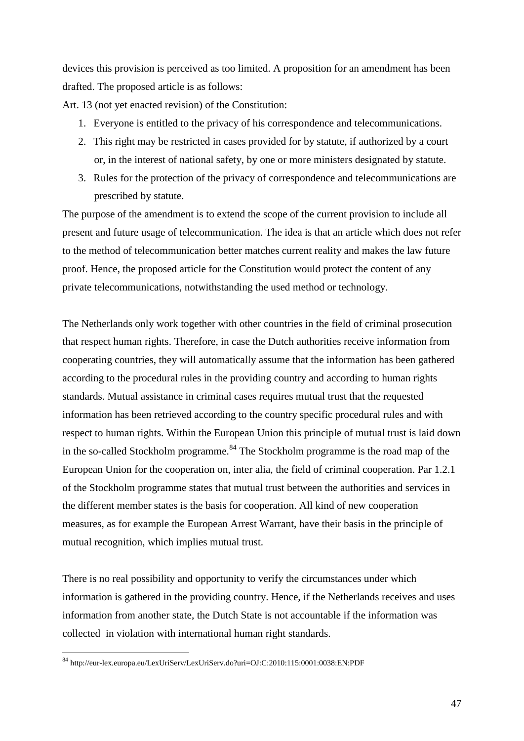devices this provision is perceived as too limited. A proposition for an amendment has been drafted. The proposed article is as follows:

Art. 13 (not yet enacted revision) of the Constitution:

- 1. Everyone is entitled to the privacy of his correspondence and telecommunications.
- 2. This right may be restricted in cases provided for by statute, if authorized by a court or, in the interest of national safety, by one or more ministers designated by statute.
- 3. Rules for the protection of the privacy of correspondence and telecommunications are prescribed by statute.

The purpose of the amendment is to extend the scope of the current provision to include all present and future usage of telecommunication. The idea is that an article which does not refer to the method of telecommunication better matches current reality and makes the law future proof. Hence, the proposed article for the Constitution would protect the content of any private telecommunications, notwithstanding the used method or technology.

The Netherlands only work together with other countries in the field of criminal prosecution that respect human rights. Therefore, in case the Dutch authorities receive information from cooperating countries, they will automatically assume that the information has been gathered according to the procedural rules in the providing country and according to human rights standards. Mutual assistance in criminal cases requires mutual trust that the requested information has been retrieved according to the country specific procedural rules and with respect to human rights. Within the European Union this principle of mutual trust is laid down in the so-called Stockholm programme.<sup>84</sup> The Stockholm programme is the road map of the European Union for the cooperation on, inter alia, the field of criminal cooperation. Par 1.2.1 of the Stockholm programme states that mutual trust between the authorities and services in the different member states is the basis for cooperation. All kind of new cooperation measures, as for example the European Arrest Warrant, have their basis in the principle of mutual recognition, which implies mutual trust.

There is no real possibility and opportunity to verify the circumstances under which information is gathered in the providing country. Hence, if the Netherlands receives and uses information from another state, the Dutch State is not accountable if the information was collected in violation with international human right standards.

<sup>84</sup> <http://eur-lex.europa.eu/LexUriServ/LexUriServ.do?uri=OJ:C:2010:115:0001:0038:EN:PDF>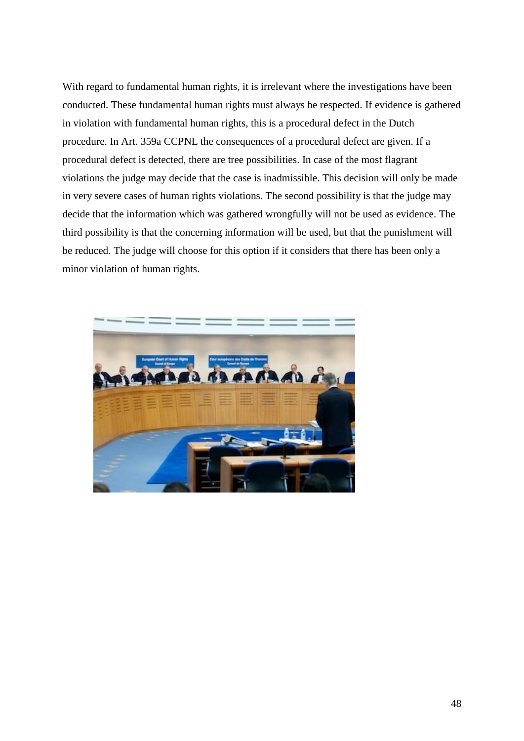With regard to fundamental human rights, it is irrelevant where the investigations have been conducted. These fundamental human rights must always be respected. If evidence is gathered in violation with fundamental human rights, this is a procedural defect in the Dutch procedure. In Art. 359a CCPNL the consequences of a procedural defect are given. If a procedural defect is detected, there are tree possibilities. In case of the most flagrant violations the judge may decide that the case is inadmissible. This decision will only be made in very severe cases of human rights violations. The second possibility is that the judge may decide that the information which was gathered wrongfully will not be used as evidence. The third possibility is that the concerning information will be used, but that the punishment will be reduced. The judge will choose for this option if it considers that there has been only a minor violation of human rights.

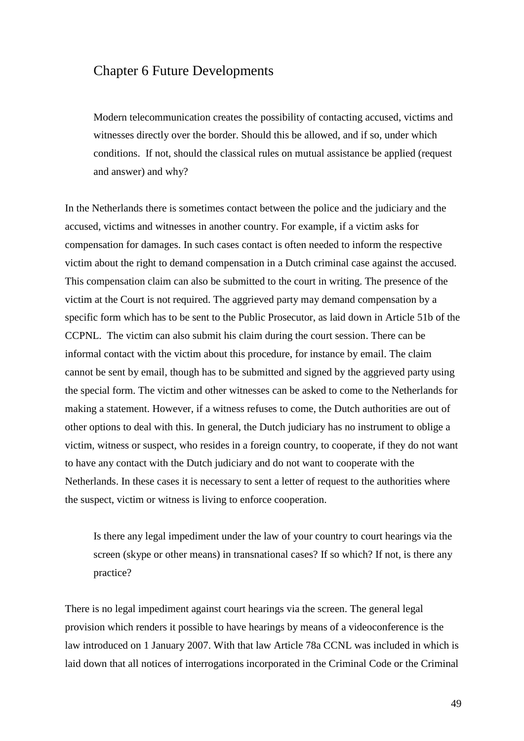#### Chapter 6 Future Developments

Modern telecommunication creates the possibility of contacting accused, victims and witnesses directly over the border. Should this be allowed, and if so, under which conditions. If not, should the classical rules on mutual assistance be applied (request and answer) and why?

In the Netherlands there is sometimes contact between the police and the judiciary and the accused, victims and witnesses in another country. For example, if a victim asks for compensation for damages. In such cases contact is often needed to inform the respective victim about the right to demand compensation in a Dutch criminal case against the accused. This compensation claim can also be submitted to the court in writing. The presence of the victim at the Court is not required. The aggrieved party may demand compensation by a specific form which has to be sent to the Public Prosecutor, as laid down in Article 51b of the CCPNL. The victim can also submit his claim during the court session. There can be informal contact with the victim about this procedure, for instance by email. The claim cannot be sent by email, though has to be submitted and signed by the aggrieved party using the special form. The victim and other witnesses can be asked to come to the Netherlands for making a statement. However, if a witness refuses to come, the Dutch authorities are out of other options to deal with this. In general, the Dutch judiciary has no instrument to oblige a victim, witness or suspect, who resides in a foreign country, to cooperate, if they do not want to have any contact with the Dutch judiciary and do not want to cooperate with the Netherlands. In these cases it is necessary to sent a letter of request to the authorities where the suspect, victim or witness is living to enforce cooperation.

Is there any legal impediment under the law of your country to court hearings via the screen (skype or other means) in transnational cases? If so which? If not, is there any practice?

There is no legal impediment against court hearings via the screen. The general legal provision which renders it possible to have hearings by means of a videoconference is the law introduced on 1 January 2007. With that law Article 78a CCNL was included in which is laid down that all notices of interrogations incorporated in the Criminal Code or the Criminal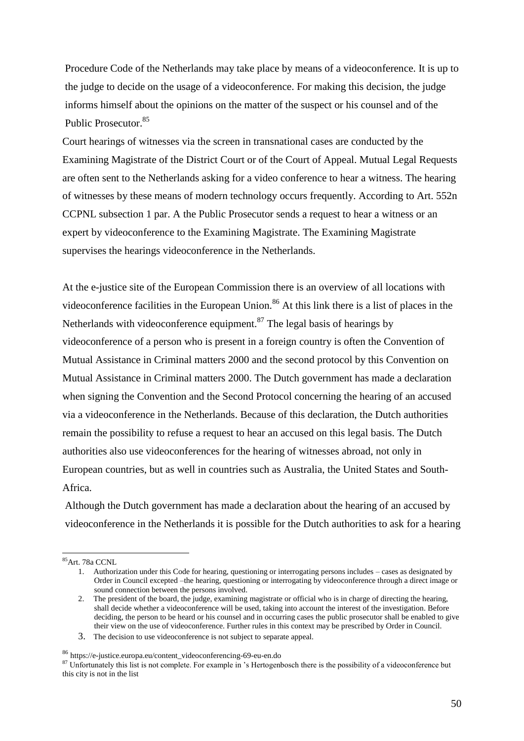Procedure Code of the Netherlands may take place by means of a videoconference. It is up to the judge to decide on the usage of a videoconference. For making this decision, the judge informs himself about the opinions on the matter of the suspect or his counsel and of the Public Prosecutor.<sup>85</sup>

Court hearings of witnesses via the screen in transnational cases are conducted by the Examining Magistrate of the District Court or of the Court of Appeal. Mutual Legal Requests are often sent to the Netherlands asking for a video conference to hear a witness. The hearing of witnesses by these means of modern technology occurs frequently. According to Art. 552n CCPNL subsection 1 par. A the Public Prosecutor sends a request to hear a witness or an expert by videoconference to the Examining Magistrate. The Examining Magistrate supervises the hearings videoconference in the Netherlands.

At the e-justice site of the European Commission there is an overview of all locations with videoconference facilities in the European Union.<sup>86</sup> At this link there is a list of places in the Netherlands with videoconference equipment.<sup>87</sup> The legal basis of hearings by videoconference of a person who is present in a foreign country is often the Convention of Mutual Assistance in Criminal matters 2000 and the second protocol by this Convention on Mutual Assistance in Criminal matters 2000. The Dutch government has made a declaration when signing the Convention and the Second Protocol concerning the hearing of an accused via a videoconference in the Netherlands. Because of this declaration, the Dutch authorities remain the possibility to refuse a request to hear an accused on this legal basis. The Dutch authorities also use videoconferences for the hearing of witnesses abroad, not only in European countries, but as well in countries such as Australia, the United States and South-Africa.

Although the Dutch government has made a declaration about the hearing of an accused by videoconference in the Netherlands it is possible for the Dutch authorities to ask for a hearing

<sup>85</sup>Art. 78a CCNL

<sup>1.</sup> Authorization under this Code for hearing, questioning or interrogating persons includes – cases as designated by Order in Council excepted –the hearing, questioning or interrogating by videoconference through a direct image or sound connection between the persons involved.

<sup>2.</sup> The president of the board, the judge, examining magistrate or official who is in charge of directing the hearing, shall decide whether a videoconference will be used, taking into account the interest of the investigation. Before deciding, the person to be heard or his counsel and in occurring cases the public prosecutor shall be enabled to give their view on the use of videoconference. Further rules in this context may be prescribed by Order in Council.

<sup>3.</sup> The decision to use videoconference is not subject to separate appeal.

<sup>86</sup> https://e-justice.europa.eu/content\_videoconferencing-69-eu-en.do

<sup>&</sup>lt;sup>87</sup> Unfortunately this list is not complete. For example in 's Hertogenbosch there is the possibility of a videoconference but this city is not in the list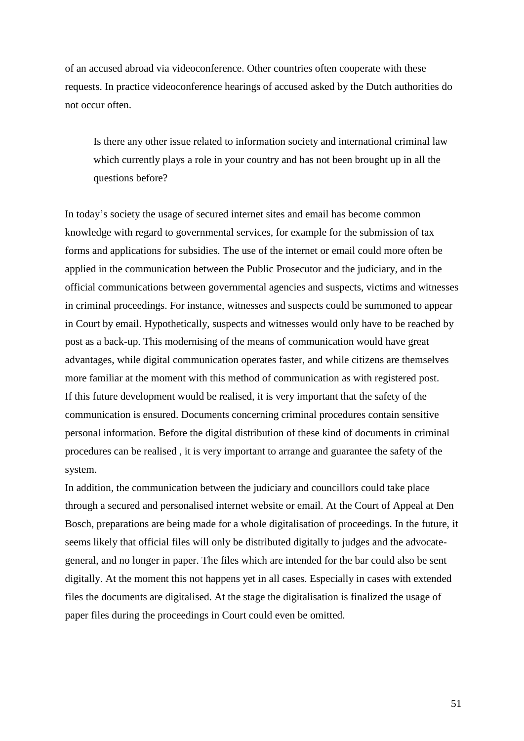of an accused abroad via videoconference. Other countries often cooperate with these requests. In practice videoconference hearings of accused asked by the Dutch authorities do not occur often.

Is there any other issue related to information society and international criminal law which currently plays a role in your country and has not been brought up in all the questions before?

In today's society the usage of secured internet sites and email has become common knowledge with regard to governmental services, for example for the submission of tax forms and applications for subsidies. The use of the internet or email could more often be applied in the communication between the Public Prosecutor and the judiciary, and in the official communications between governmental agencies and suspects, victims and witnesses in criminal proceedings. For instance, witnesses and suspects could be summoned to appear in Court by email. Hypothetically, suspects and witnesses would only have to be reached by post as a back-up. This modernising of the means of communication would have great advantages, while digital communication operates faster, and while citizens are themselves more familiar at the moment with this method of communication as with registered post. If this future development would be realised, it is very important that the safety of the communication is ensured. Documents concerning criminal procedures contain sensitive personal information. Before the digital distribution of these kind of documents in criminal procedures can be realised , it is very important to arrange and guarantee the safety of the system.

In addition, the communication between the judiciary and councillors could take place through a secured and personalised internet website or email. At the Court of Appeal at Den Bosch, preparations are being made for a whole digitalisation of proceedings. In the future, it seems likely that official files will only be distributed digitally to judges and the advocategeneral, and no longer in paper. The files which are intended for the bar could also be sent digitally. At the moment this not happens yet in all cases. Especially in cases with extended files the documents are digitalised. At the stage the digitalisation is finalized the usage of paper files during the proceedings in Court could even be omitted.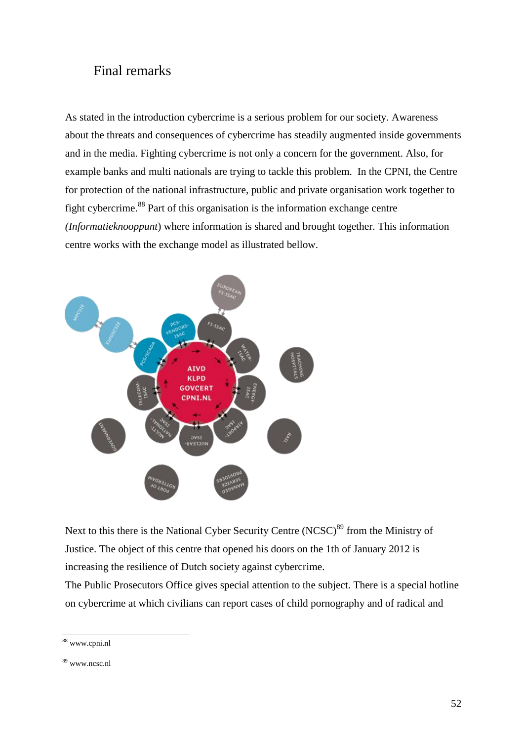### Final remarks

As stated in the introduction cybercrime is a serious problem for our society. Awareness about the threats and consequences of cybercrime has steadily augmented inside governments and in the media. Fighting cybercrime is not only a concern for the government. Also, for example banks and multi nationals are trying to tackle this problem. In the CPNI, the Centre for protection of the national infrastructure, public and private organisation work together to fight cybercrime.<sup>88</sup> Part of this organisation is the information exchange centre *(Informatieknooppunt*) where information is shared and brought together. This information centre works with the exchange model as illustrated bellow.



Next to this there is the National Cyber Security Centre  $(NCSC)^{89}$  from the Ministry of Justice. The object of this centre that opened his doors on the 1th of January 2012 is increasing the resilience of Dutch society against cybercrime.

The Public Prosecutors Office gives special attention to the subject. There is a special hotline on cybercrime at which civilians can report cases of child pornography and of radical and

<sup>88</sup> [www.cpni.nl](http://www.cpni.nl/)

<sup>89</sup> [www.ncsc.nl](http://www.ncsc.nl/)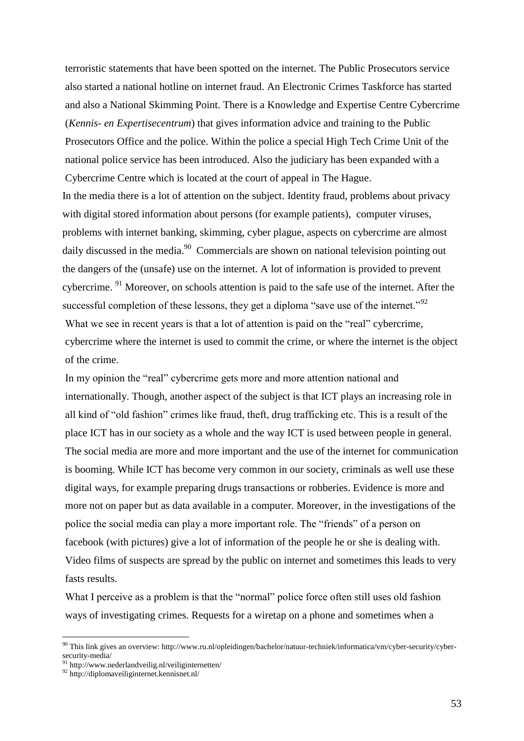terroristic statements that have been spotted on the internet. The Public Prosecutors service also started a national hotline on internet fraud. An Electronic Crimes Taskforce has started and also a National Skimming Point. There is a Knowledge and Expertise Centre Cybercrime (*Kennis- en Expertisecentrum*) that gives information advice and training to the Public Prosecutors Office and the police. Within the police a special High Tech Crime Unit of the national police service has been introduced. Also the judiciary has been expanded with a Cybercrime Centre which is located at the court of appeal in The Hague. In the media there is a lot of attention on the subject. Identity fraud, problems about privacy with digital stored information about persons (for example patients), computer viruses, problems with internet banking, skimming, cyber plague, aspects on cybercrime are almost daily discussed in the media.<sup>90</sup> Commercials are shown on national television pointing out the dangers of the (unsafe) use on the internet. A lot of information is provided to prevent cybercrime. <sup>91</sup> Moreover, on schools attention is paid to the safe use of the internet. After the successful completion of these lessons, they get a diploma "save use of the internet."<sup>92</sup> What we see in recent years is that a lot of attention is paid on the "real" cybercrime, cybercrime where the internet is used to commit the crime, or where the internet is the object of the crime.

In my opinion the "real" cybercrime gets more and more attention national and internationally. Though, another aspect of the subject is that ICT plays an increasing role in all kind of "old fashion" crimes like fraud, theft, drug trafficking etc. This is a result of the place ICT has in our society as a whole and the way ICT is used between people in general. The social media are more and more important and the use of the internet for communication is booming. While ICT has become very common in our society, criminals as well use these digital ways, for example preparing drugs transactions or robberies. Evidence is more and more not on paper but as data available in a computer. Moreover, in the investigations of the police the social media can play a more important role. The "friends" of a person on facebook (with pictures) give a lot of information of the people he or she is dealing with. Video films of suspects are spread by the public on internet and sometimes this leads to very fasts results.

What I perceive as a problem is that the "normal" police force often still uses old fashion ways of investigating crimes. Requests for a wiretap on a phone and sometimes when a

<sup>90</sup> This link gives an overview: http://www.ru.nl/opleidingen/bachelor/natuur-techniek/informatica/vm/cyber-security/cybersecurity-media/

<sup>91</sup> http://www.nederlandveilig.nl/veiliginternetten/

<sup>92</sup> http://diplomaveiliginternet.kennisnet.nl/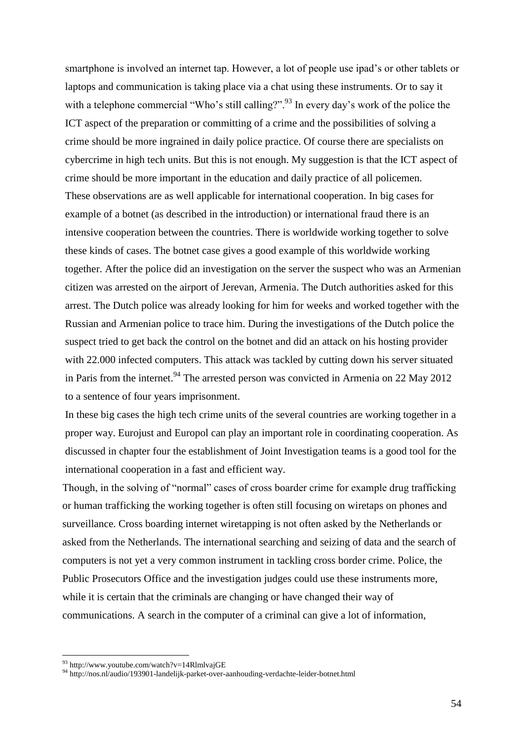smartphone is involved an internet tap. However, a lot of people use ipad's or other tablets or laptops and communication is taking place via a chat using these instruments. Or to say it with a telephone commercial "Who's still calling?".<sup>93</sup> In every day's work of the police the ICT aspect of the preparation or committing of a crime and the possibilities of solving a crime should be more ingrained in daily police practice. Of course there are specialists on cybercrime in high tech units. But this is not enough. My suggestion is that the ICT aspect of crime should be more important in the education and daily practice of all policemen. These observations are as well applicable for international cooperation. In big cases for example of a botnet (as described in the introduction) or international fraud there is an intensive cooperation between the countries. There is worldwide working together to solve these kinds of cases. The botnet case gives a good example of this worldwide working together. After the police did an investigation on the server the suspect who was an Armenian citizen was arrested on the airport of Jerevan, Armenia. The Dutch authorities asked for this arrest. The Dutch police was already looking for him for weeks and worked together with the Russian and Armenian police to trace him. During the investigations of the Dutch police the suspect tried to get back the control on the botnet and did an attack on his hosting provider with 22.000 infected computers. This attack was tackled by cutting down his server situated in Paris from the internet.<sup>94</sup> The arrested person was convicted in Armenia on 22 May 2012 to a sentence of four years imprisonment.

In these big cases the high tech crime units of the several countries are working together in a proper way. Eurojust and Europol can play an important role in coordinating cooperation. As discussed in chapter four the establishment of Joint Investigation teams is a good tool for the international cooperation in a fast and efficient way.

Though, in the solving of "normal" cases of cross boarder crime for example drug trafficking or human trafficking the working together is often still focusing on wiretaps on phones and surveillance. Cross boarding internet wiretapping is not often asked by the Netherlands or asked from the Netherlands. The international searching and seizing of data and the search of computers is not yet a very common instrument in tackling cross border crime. Police, the Public Prosecutors Office and the investigation judges could use these instruments more, while it is certain that the criminals are changing or have changed their way of communications. A search in the computer of a criminal can give a lot of information,

 $93$  http://www.youtube.com/watch?v=14RlmlvajGE

<sup>94</sup> http://nos.nl/audio/193901-landelijk-parket-over-aanhouding-verdachte-leider-botnet.html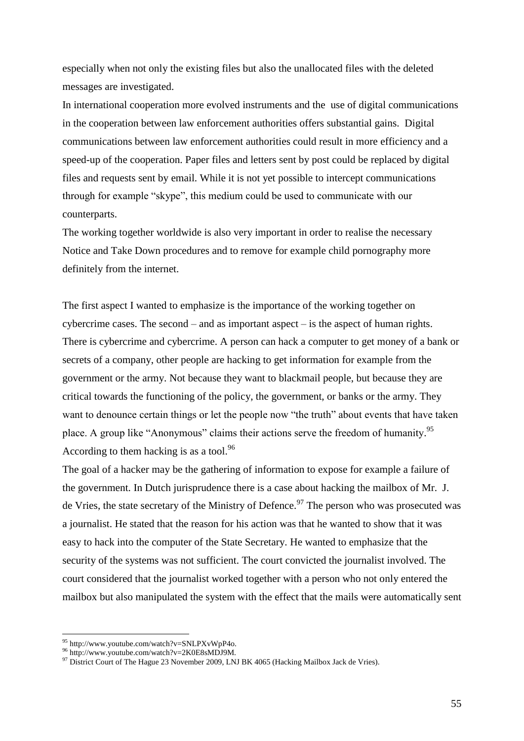especially when not only the existing files but also the unallocated files with the deleted messages are investigated.

In international cooperation more evolved instruments and the use of digital communications in the cooperation between law enforcement authorities offers substantial gains. Digital communications between law enforcement authorities could result in more efficiency and a speed-up of the cooperation. Paper files and letters sent by post could be replaced by digital files and requests sent by email. While it is not yet possible to intercept communications through for example "skype", this medium could be used to communicate with our counterparts.

The working together worldwide is also very important in order to realise the necessary Notice and Take Down procedures and to remove for example child pornography more definitely from the internet.

The first aspect I wanted to emphasize is the importance of the working together on cybercrime cases. The second  $-$  and as important aspect  $-$  is the aspect of human rights. There is cybercrime and cybercrime. A person can hack a computer to get money of a bank or secrets of a company, other people are hacking to get information for example from the government or the army. Not because they want to blackmail people, but because they are critical towards the functioning of the policy, the government, or banks or the army. They want to denounce certain things or let the people now "the truth" about events that have taken place. A group like "Anonymous" claims their actions serve the freedom of humanity.<sup>95</sup> According to them hacking is as a tool.<sup>96</sup>

The goal of a hacker may be the gathering of information to expose for example a failure of the government. In Dutch jurisprudence there is a case about hacking the mailbox of Mr. J. de Vries, the state secretary of the Ministry of Defence.<sup>97</sup> The person who was prosecuted was a journalist. He stated that the reason for his action was that he wanted to show that it was easy to hack into the computer of the State Secretary. He wanted to emphasize that the security of the systems was not sufficient. The court convicted the journalist involved. The court considered that the journalist worked together with a person who not only entered the mailbox but also manipulated the system with the effect that the mails were automatically sent

 $95$  http://www.youtube.com/watch?v=SNLPXvWpP4o.

<sup>96</sup> http://www.youtube.com/watch?v=2K0E8sMDJ9M.

<sup>97</sup> District Court of The Hague 23 November 2009, LNJ BK 4065 (Hacking Mailbox Jack de Vries).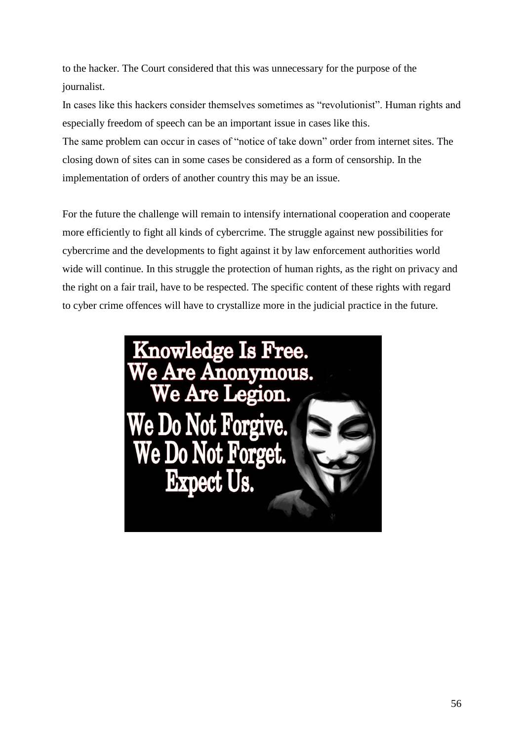to the hacker. The Court considered that this was unnecessary for the purpose of the journalist.

In cases like this hackers consider themselves sometimes as "revolutionist". Human rights and especially freedom of speech can be an important issue in cases like this.

The same problem can occur in cases of "notice of take down" order from internet sites. The closing down of sites can in some cases be considered as a form of censorship. In the implementation of orders of another country this may be an issue.

For the future the challenge will remain to intensify international cooperation and cooperate more efficiently to fight all kinds of cybercrime. The struggle against new possibilities for cybercrime and the developments to fight against it by law enforcement authorities world wide will continue. In this struggle the protection of human rights, as the right on privacy and the right on a fair trail, have to be respected. The specific content of these rights with regard to cyber crime offences will have to crystallize more in the judicial practice in the future.

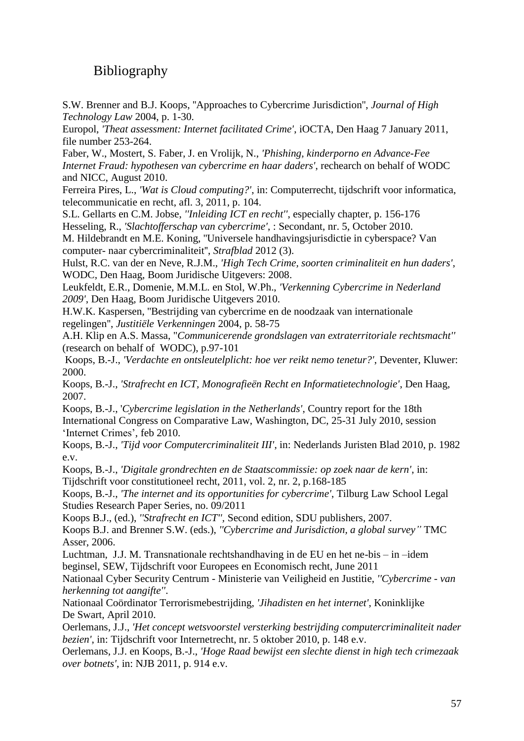## Bibliography

S.W. Brenner and B.J. Koops, ''Approaches to Cybercrime Jurisdiction'', *Journal of High Technology Law* 2004, p. 1-30.

Europol, *['Theat assessment: Internet facilitated Crime'](http://pi.bistro.ro.minjus.nl/db/Lists/Documenten/Internet_Facilitated_Organised_Crime_iOCTA.pdf)*, iOCTA, Den Haag 7 January 2011, [file number 253-264.](http://pi.bistro.ro.minjus.nl/db/Lists/Documenten/Internet_Facilitated_Organised_Crime_iOCTA.pdf)

[Faber, W., Mostert, S. Faber, J. en Vrolijk, N.,](http://pi.bistro.ro.minjus.nl/db/Lists/Documenten/2011-%20Phishing,%20kinderporno%20en%20advance%20fee%20internet%20fraud.pdf) *'Phishing, kinderporno en Advance-Fee [Internet Fraud: hypothesen van cybercrime en haar daders'](http://pi.bistro.ro.minjus.nl/db/Lists/Documenten/2011-%20Phishing,%20kinderporno%20en%20advance%20fee%20internet%20fraud.pdf)*, rechearch on behalf of WODC [and NICC, August 2010.](http://pi.bistro.ro.minjus.nl/db/Lists/Documenten/2011-%20Phishing,%20kinderporno%20en%20advance%20fee%20internet%20fraud.pdf)

Ferreira Pires, L., *'Wat is Cloud computing?'*, in: Computerrecht, tijdschrift voor informatica, telecommunicatie en recht, afl. 3, 2011, p. 104.

S.L. Gellarts en C.M. Jobse, *''Inleiding ICT en recht''*, especially chapter, p. 156-176 Hesseling, R., *'Slachtofferschap van cybercrime'*[, : Secondant, nr. 5, October 2010.](http://pi.bistro.ro.minjus.nl/db/Lists/Documenten/Slachtofferschap%20van%20cybercrime,%20Hesseling%20(2010).pdf)

M. Hildebrandt en M.E. Koning, ''Universele handhavingsjurisdictie in cyberspace? Van computer- naar cybercriminaliteit'', *Strafblad* 2012 (3).

Hulst, R.C. van der en Neve, R.J.M., *['High Tech Crime, soorten criminaliteit en hun daders'](http://pi.bistro.ro.minjus.nl/db/Lists/Documenten/High%20Tech%20Crime,%20soorten%20criminaliteit%20en%20hun%20daders,%20WODC,%20nr.%20264,%20jaar%202008.pdf)*, [WODC, Den Haag, Boom Juridische Uitgevers: 2008.](http://pi.bistro.ro.minjus.nl/db/Lists/Documenten/High%20Tech%20Crime,%20soorten%20criminaliteit%20en%20hun%20daders,%20WODC,%20nr.%20264,%20jaar%202008.pdf)

Leukfeldt, E.R., Domenie, M.M.L. en Stol, W.Ph., *'Verkenning Cybercrime in Nederland 2009'*, Den Haag, Boom Juridische Uitgevers 2010.

H.W.K. Kaspersen, ''Bestrijding van cybercrime en de noodzaak van internationale regelingen'', *Justitiële Verkenningen* 2004, p. 58-75

A.H. Klip en A.S. Massa, "*Communicerende grondslagen van extraterritoriale rechtsmacht''* (research on behalf of WODC), p.97-101

Koops, B.-J., *['Verdachte en ontsleutelplicht: hoe ver reikt nemo tenetur?'](http://pi.bistro.ro.minjus.nl/db/Lists/Documenten/Verdachte%20en%20ontsleutelplicht,%20hoe%20ver%20reikt%20nemo%20tenetur,%20ITeR,%2031,%20Deventer%20Kluwer,%20125%20pp.pdf)*, Deventer, Kluwer: [2000.](http://pi.bistro.ro.minjus.nl/db/Lists/Documenten/Verdachte%20en%20ontsleutelplicht,%20hoe%20ver%20reikt%20nemo%20tenetur,%20ITeR,%2031,%20Deventer%20Kluwer,%20125%20pp.pdf)

Koops, B.-J., *'Strafrecht en ICT, Monografieën Recht en Informatietechnologie'*, Den Haag, 2007.

Koops, B.-J., '*[Cybercrime legislation in the Netherlands'](http://pi.bistro.ro.minjus.nl/db/Lists/Documenten/Cybercrime%20legislation%20in%20the%20Netherlands,%20B-J%20Koops,%20februari%202010.pdf)*, Country report for the 18th [International Congress on Comparative Law, Washington, DC, 25-31 July 2010, session](http://pi.bistro.ro.minjus.nl/db/Lists/Documenten/Cybercrime%20legislation%20in%20the%20Netherlands,%20B-J%20Koops,%20februari%202010.pdf)  ['Internet Crimes',](http://pi.bistro.ro.minjus.nl/db/Lists/Documenten/Cybercrime%20legislation%20in%20the%20Netherlands,%20B-J%20Koops,%20februari%202010.pdf) feb 2010.

Koops, B.-J., *'Tijd voor Computercriminaliteit III'*, in: [Nederlands Juristen Blad 2010, p. 1982](http://pi.bistro.ro.minjus.nl/db/Lists/Documenten/Tijd%20voor%20computercriminalitiet%20III,%20Koops.pdf)  [e.v.](http://pi.bistro.ro.minjus.nl/db/Lists/Documenten/Tijd%20voor%20computercriminalitiet%20III,%20Koops.pdf)

Koops, B.-J., *['Digitale grondrechten en de Staatscommissie: op zoek naar de kern'](http://pi.bistro.ro.minjus.nl/db/Lists/Documenten/Digitale%20grondrechten%20en%20de%20Staatscommissie,%20op%20zoek%20naar%20de%20kern,%20B-J%20Koops,%20UvT%202011.pdf)*, in: [Tijdschrift voor constitutioneel recht, 2011, vol. 2, nr. 2, p.168-185](http://pi.bistro.ro.minjus.nl/db/Lists/Documenten/Digitale%20grondrechten%20en%20de%20Staatscommissie,%20op%20zoek%20naar%20de%20kern,%20B-J%20Koops,%20UvT%202011.pdf)

Koops, B.-J., *'The internet and its opportunities for cybercrime'*, Tilburg Law School Legal Studies Research Paper Series, no. 09/2011

Koops B.J., (ed.), *''Strafrecht en ICT'',* Second edition, SDU publishers, 2007.

Koops B.J. and Brenner S.W. (eds.), *''Cybercrime and Jurisdiction, a global survey"* TMC Asser, 2006.

Luchtman, J.J. M. Transnationale rechtshandhaving in de EU en het ne-bis – in –idem beginsel, SEW, Tijdschrift voor Europees en Economisch recht, June 2011

Nationaal Cyber Security Centrum - Ministerie van Veiligheid en Justitie, *''Cybercrime - van herkenning tot aangifte''*.

[Nationaal Coördinator Terrorismebestrijding,](http://pi.bistro.ro.minjus.nl/db/Lists/Documenten/Jihadisten%20en%20het%20internet,%20update%202009,%20NCTB,%20Akerboom,%20mei%202010.pdf) *'Jihadisten en het internet'*, Koninklijke De Swart, [April 2010.](http://pi.bistro.ro.minjus.nl/db/Lists/Documenten/Jihadisten%20en%20het%20internet,%20update%202009,%20NCTB,%20Akerboom,%20mei%202010.pdf)

Oerlemans, J.J., *'Het concept wetsvoorstel versterking bestrijding computercriminaliteit nader bezien'*, in: Tijdschrift voor Internetrecht, nr. 5 oktober 2010, p. 148 e.v.

Oerlemans, J.J. en Koops, B.-J., *['Hoge Raad bewijst een slechte dienst in high tech crimezaak](http://pi.bistro.ro.minjus.nl/db/Lists/Documenten/Hoge%20Raad%20bewijst%20slechte%20dienst%20in%20High%20Tech%20crimezaak%20over%20botnets%20Oerlemans%20en%20Koops%20NJB%202011%20afl%2018%20p%20914e%20v%20.pdf)  over botnets'*[, in: NJB 2011,](http://pi.bistro.ro.minjus.nl/db/Lists/Documenten/Hoge%20Raad%20bewijst%20slechte%20dienst%20in%20High%20Tech%20crimezaak%20over%20botnets%20Oerlemans%20en%20Koops%20NJB%202011%20afl%2018%20p%20914e%20v%20.pdf) p. 914 e.v.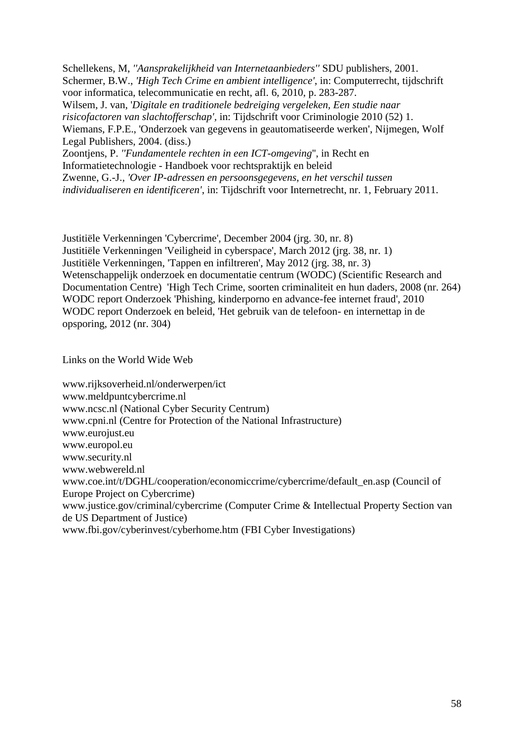Schellekens, M, *''Aansprakelijkheid van Internetaanbieders''* SDU publishers, 2001. Schermer, B.W., *'High Tech Crime en ambient intelligence'*, in: Computerrecht, tijdschrift voor informatica, telecommunicatie en recht, afl. 6, 2010, p. 283-287. Wilsem, J. van, '*[Digitale en traditionele bedreiging vergeleken, Een studie](http://pi.bistro.ro.minjus.nl/db/Lists/Documenten/Digitale%20en%20traditionele%20bedreiging%20vergeleken,%20Johan%20van%20Wilsem,%20tijdschrift%20voor%20criminologie%202010%20(52)%201.pdf) naar risicofactoren van slachtofferschap',* in: [Tijdschrift voor Criminologie 2010 \(52\) 1.](http://pi.bistro.ro.minjus.nl/db/Lists/Documenten/Digitale%20en%20traditionele%20bedreiging%20vergeleken,%20Johan%20van%20Wilsem,%20tijdschrift%20voor%20criminologie%202010%20(52)%201.pdf) [Wiemans, F.P.E., 'Onderzoek van gegevens in geautomatiseerde werken',](http://pi.bistro.ro.minjus.nl/db/Lists/Documenten/Proefschrift%20Paul%20Wiemans%20(UvT),%202004.pdf) Nijmegen, Wolf Legal Publishers, 2004. (diss.) Zoontjens, P. *''Fundamentele rechten in een ICT-omgeving*'', in Recht en Informatietechnologie - Handboek voor rechtspraktijk en beleid Zwenne, G.-J., *'Over IP-adressen en persoonsgegevens, en het verschil tussen individualiseren en identificeren'*, in: Tijdschrift voor Internetrecht, nr. 1, February 2011.

[Justitiële Verkenningen 'Cybercrime', December 2004 \(jrg. 30, nr. 8\)](http://pi.bistro.ro.minjus.nl/db/Lists/Documenten/Cybercrime,%20Justitiële%20Verkenningen,%201-12-2004.pdf) [Justitiële Verkenningen 'Veiligheid in cyberspace', March 2012 \(jrg. 38, nr. 1\)](http://pi.bistro.ro.minjus.nl/db/Lists/Documenten/WODC-2012%20-%20Veiligheid%20in%20cyberspace.pdf) [Justitiële Verkenningen, 'Tappen en infiltreren', May 2012 \(jrg. 38, nr. 3\)](http://pi.bistro.ro.minjus.nl/db/Lists/Documenten/WODC.Tappen%20en%20infiltreren.mei2012.pdf) Wetenschappelijk onderzoek en documentatie centrum (WODC) (Scientific Research and Documentation Centre) ['High Tech Crime, soorten criminaliteit en hun daders, 2008 \(nr. 264\)](http://pi.bistro.ro.minjus.nl/db/Lists/Documenten/High%20Tech%20Crime,%20soorten%20criminaliteit%20en%20hun%20daders,%20WODC,%20nr.%20264,%20jaar%202008.pdf) WODC report [Onderzoek 'Phishing, kinderporno en advance-fee internet fraud', 2010](http://pi.bistro.ro.minjus.nl/db/Lists/Documenten/2011-%20Phishing,%20kinderporno%20en%20advance%20fee%20internet%20fraud.pdf) WODC report [Onderzoek en beleid, 'Het gebruik van de telefoon-](http://pi.bistro.ro.minjus.nl/db/Lists/Documenten/WODC.Het%20gebruik%20van%20de%20telefoon-%20en%20internettap%20in%20de%20opsporing.mei2012.pdf) en internettap in de [opsporing, 2012 \(nr. 304\)](http://pi.bistro.ro.minjus.nl/db/Lists/Documenten/WODC.Het%20gebruik%20van%20de%20telefoon-%20en%20internettap%20in%20de%20opsporing.mei2012.pdf)

Links on the World Wide Web

[www.rijksoverheid.nl/onderwerpen/ict](http://www.rijksoverheid.nl/onderwerpen/ict) [www.meldpuntcybercrime.nl](http://www.meldpuntcybercrime.nl/) [www.ncsc.nl](http://www.ncsc.nl/) (National Cyber Security Centrum) [www.cpni.nl](http://www.cpni.nl/) (Centre for Protection of the National Infrastructure) [www.eurojust.eu](http://www.eurojust.eu/) [www.europol.eu](http://www.europol.eu/) [www.security.nl](http://www.security.nl/) [www.webwereld.nl](http://www.webwereld.nl/) [www.coe.int/t/DGHL/cooperation/economiccrime/cybercrime/default\\_en.asp](http://www.coe.int/t/DGHL/cooperation/economiccrime/cybercrime/default_en.asp) (Council of Europe Project on Cybercrime) [www.justice.gov/criminal/cybercrime](http://www.justice.gov/criminal/cybercrime) (Computer Crime & Intellectual Property Section van de US Department of Justice) [www.fbi.gov/cyberinvest/cyberhome.htm](http://www.fbi.gov/cyberinvest/cyberhome.htm) (FBI Cyber Investigations)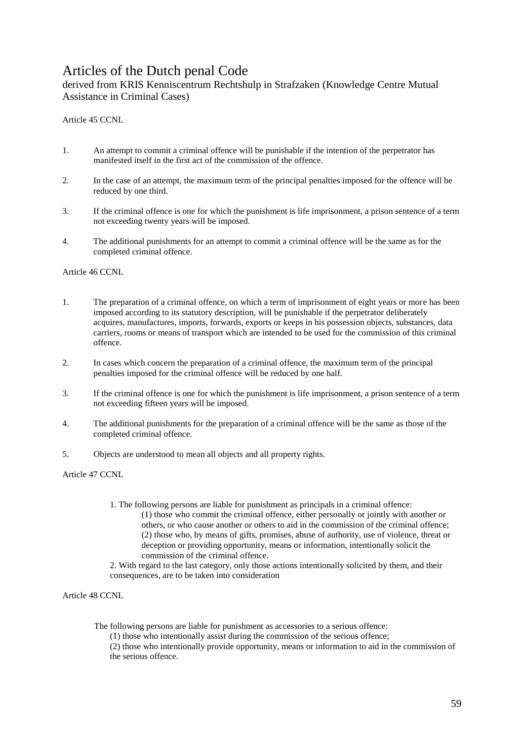## Articles of the Dutch penal Code

derived from KRIS Kenniscentrum Rechtshulp in Strafzaken (Knowledge Centre Mutual Assistance in Criminal Cases)

Article 45 CCNL

- 1. An attempt to commit a criminal offence will be punishable if the intention of the perpetrator has manifested itself in the first act of the commission of the offence.
- 2. In the case of an attempt, the maximum term of the principal penalties imposed for the offence will be reduced by one third.
- 3. If the criminal offence is one for which the punishment is life imprisonment, a prison sentence of a term not exceeding twenty years will be imposed.
- 4. The additional punishments for an attempt to commit a criminal offence will be the same as for the completed criminal offence.

Article 46 CCNL

- 1. The preparation of a criminal offence, on which a term of imprisonment of eight years or more has been imposed according to its statutory description, will be punishable if the perpetrator deliberately acquires, manufactures, imports, forwards, exports or keeps in his possession objects, substances, data carriers, rooms or means of transport which are intended to be used for the commission of this criminal offence.
- 2. In cases which concern the preparation of a criminal offence, the maximum term of the principal penalties imposed for the criminal offence will be reduced by one half.
- 3. If the criminal offence is one for which the punishment is life imprisonment, a prison sentence of a term not exceeding fifteen years will be imposed.
- 4. The additional punishments for the preparation of a criminal offence will be the same as those of the completed criminal offence.
- 5. Objects are understood to mean all objects and all property rights.

Article 47 CCNL

1. The following persons are liable for punishment as principals in a criminal offence: (1) those who commit the criminal offence, either personally or jointly with another or others, or who cause another or others to aid in the commission of the criminal offence; (2) those who, by means of gifts, promises, abuse of authority, use of violence, threat or deception or providing opportunity, means or information, intentionally solicit the commission of the criminal offence.

2. With regard to the last category, only those actions intentionally solicited by them, and their consequences, are to be taken into consideration

Article 48 CCNL

The following persons are liable for punishment as accessories to a serious offence:

(1) those who intentionally assist during the commission of the serious offence;

(2) those who intentionally provide opportunity, means or information to aid in the commission of the serious offence.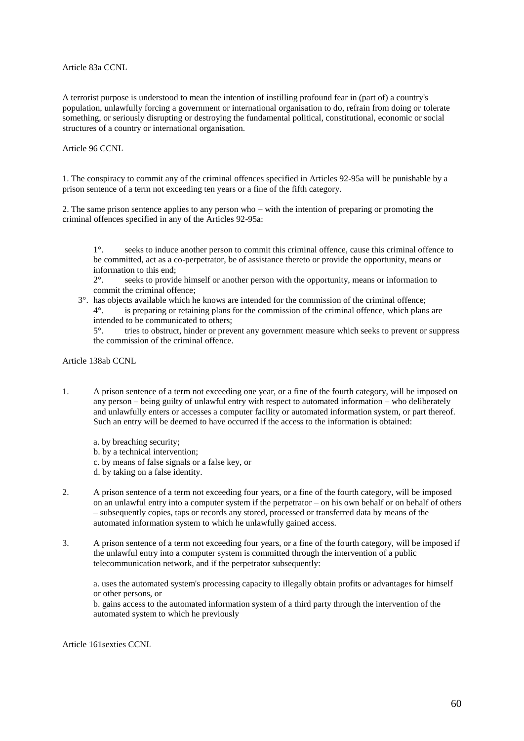Article 83a CCNL

A terrorist purpose is understood to mean the intention of instilling profound fear in (part of) a country's population, unlawfully forcing a government or international organisation to do, refrain from doing or tolerate something, or seriously disrupting or destroying the fundamental political, constitutional, economic or social structures of a country or international organisation.

Article 96 CCNL

1. The conspiracy to commit any of the criminal offences specified in Articles 92-95a will be punishable by a prison sentence of a term not exceeding ten years or a fine of the fifth category.

2. The same prison sentence applies to any person who – with the intention of preparing or promoting the criminal offences specified in any of the Articles 92-95a:

1°. seeks to induce another person to commit this criminal offence, cause this criminal offence to be committed, act as a co-perpetrator, be of assistance thereto or provide the opportunity, means or information to this end;

2°. seeks to provide himself or another person with the opportunity, means or information to commit the criminal offence;

3°. has objects available which he knows are intended for the commission of the criminal offence; 4°. is preparing or retaining plans for the commission of the criminal offence, which plans are intended to be communicated to others;

5°. tries to obstruct, hinder or prevent any government measure which seeks to prevent or suppress the commission of the criminal offence.

Article 138ab CCNL

1. A prison sentence of a term not exceeding one year, or a fine of the fourth category, will be imposed on any person – being guilty of unlawful entry with respect to automated information – who deliberately and unlawfully enters or accesses a computer facility or automated information system, or part thereof. Such an entry will be deemed to have occurred if the access to the information is obtained:

a. by breaching security;

- b. by a technical intervention;
- c. by means of false signals or a false key, or
- d. by taking on a false identity.
- 2. A prison sentence of a term not exceeding four years, or a fine of the fourth category, will be imposed on an unlawful entry into a computer system if the perpetrator – on his own behalf or on behalf of others – subsequently copies, taps or records any stored, processed or transferred data by means of the automated information system to which he unlawfully gained access.
- 3. A prison sentence of a term not exceeding four years, or a fine of the fourth category, will be imposed if the unlawful entry into a computer system is committed through the intervention of a public telecommunication network, and if the perpetrator subsequently:

a. uses the automated system's processing capacity to illegally obtain profits or advantages for himself or other persons, or

b. gains access to the automated information system of a third party through the intervention of the automated system to which he previously

Article 161sexties CCNL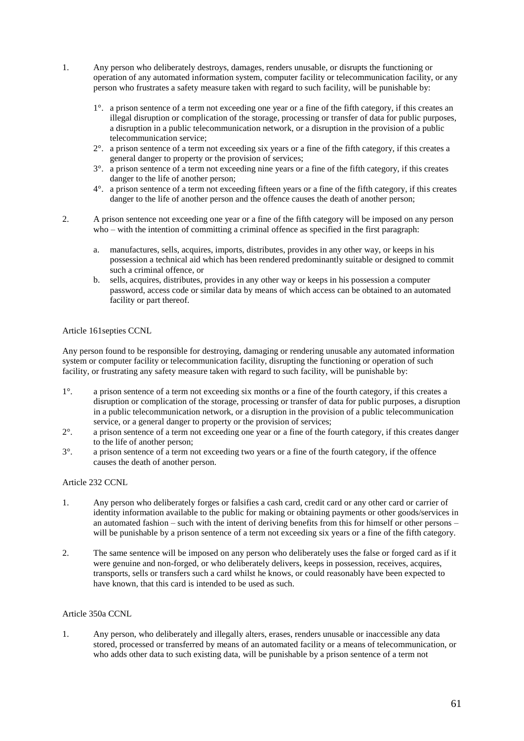- 1. Any person who deliberately destroys, damages, renders unusable, or disrupts the functioning or operation of any automated information system, computer facility or telecommunication facility, or any person who frustrates a safety measure taken with regard to such facility, will be punishable by:
	- 1°. a prison sentence of a term not exceeding one year or a fine of the fifth category, if this creates an illegal disruption or complication of the storage, processing or transfer of data for public purposes, a disruption in a public telecommunication network, or a disruption in the provision of a public telecommunication service;
	- $2^{\circ}$ . a prison sentence of a term not exceeding six years or a fine of the fifth category, if this creates a general danger to property or the provision of services;
	- 3°. a prison sentence of a term not exceeding nine years or a fine of the fifth category, if this creates danger to the life of another person;
	- 4°. a prison sentence of a term not exceeding fifteen years or a fine of the fifth category, if this creates danger to the life of another person and the offence causes the death of another person;
- 2. A prison sentence not exceeding one year or a fine of the fifth category will be imposed on any person who – with the intention of committing a criminal offence as specified in the first paragraph:
	- a. manufactures, sells, acquires, imports, distributes, provides in any other way, or keeps in his possession a technical aid which has been rendered predominantly suitable or designed to commit such a criminal offence, or
	- b. sells, acquires, distributes, provides in any other way or keeps in his possession a computer password, access code or similar data by means of which access can be obtained to an automated facility or part thereof.

#### Article 161septies CCNL

Any person found to be responsible for destroying, damaging or rendering unusable any automated information system or computer facility or telecommunication facility, disrupting the functioning or operation of such facility, or frustrating any safety measure taken with regard to such facility, will be punishable by:

- 1°. a prison sentence of a term not exceeding six months or a fine of the fourth category, if this creates a disruption or complication of the storage, processing or transfer of data for public purposes, a disruption in a public telecommunication network, or a disruption in the provision of a public telecommunication service, or a general danger to property or the provision of services;
- 2°. a prison sentence of a term not exceeding one year or a fine of the fourth category, if this creates danger to the life of another person;
- 3°. a prison sentence of a term not exceeding two years or a fine of the fourth category, if the offence causes the death of another person.

#### Article 232 CCNL

- 1. Any person who deliberately forges or falsifies a cash card, credit card or any other card or carrier of identity information available to the public for making or obtaining payments or other goods/services in an automated fashion – such with the intent of deriving benefits from this for himself or other persons – will be punishable by a prison sentence of a term not exceeding six years or a fine of the fifth category.
- 2. The same sentence will be imposed on any person who deliberately uses the false or forged card as if it were genuine and non-forged, or who deliberately delivers, keeps in possession, receives, acquires, transports, sells or transfers such a card whilst he knows, or could reasonably have been expected to have known, that this card is intended to be used as such.

#### Article 350a CCNL

1. Any person, who deliberately and illegally alters, erases, renders unusable or inaccessible any data stored, processed or transferred by means of an automated facility or a means of telecommunication, or who adds other data to such existing data, will be punishable by a prison sentence of a term not